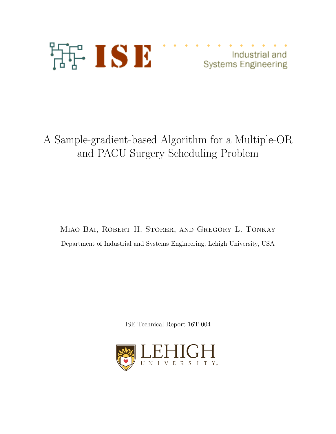

Industrial and **Systems Engineering** 

# A Sample-gradient-based Algorithm for a Multiple-OR and PACU Surgery Scheduling Problem

Miao Bai, Robert H. Storer, and Gregory L. Tonkay Department of Industrial and Systems Engineering, Lehigh University, USA

ISE Technical Report 16T-004

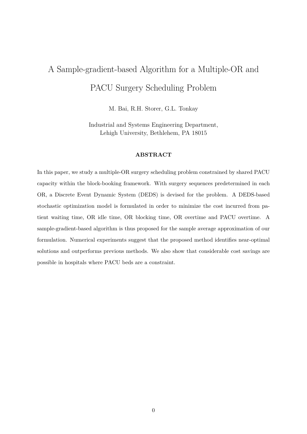# A Sample-gradient-based Algorithm for a Multiple-OR and PACU Surgery Scheduling Problem

M. Bai, R.H. Storer, G.L. Tonkay

Industrial and Systems Engineering Department, Lehigh University, Bethlehem, PA 18015

### **ABSTRACT**

In this paper, we study a multiple-OR surgery scheduling problem constrained by shared PACU capacity within the block-booking framework. With surgery sequences predetermined in each OR, a Discrete Event Dynamic System (DEDS) is devised for the problem. A DEDS-based stochastic optimization model is formulated in order to minimize the cost incurred from patient waiting time, OR idle time, OR blocking time, OR overtime and PACU overtime. A sample-gradient-based algorithm is thus proposed for the sample average approximation of our formulation. Numerical experiments suggest that the proposed method identifies near-optimal solutions and outperforms previous methods. We also show that considerable cost savings are possible in hospitals where PACU beds are a constraint.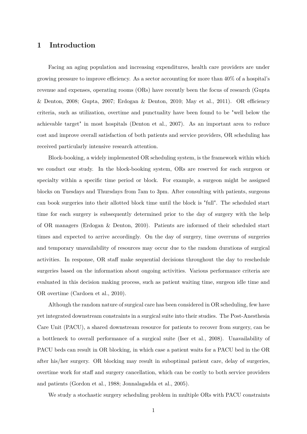## **1 Introduction**

Facing an aging population and increasing expenditures, health care providers are under growing pressure to improve efficiency. As a sector accounting for more than 40% of a hospital's revenue and expenses, operating rooms (ORs) have recently been the focus of research (Gupta & Denton, 2008; Gupta, 2007; Erdogan & Denton, 2010; May et al., 2011). OR efficiency criteria, such as utilization, overtime and punctuality have been found to be "well below the achievable target" in most hospitals (Denton et al., 2007). As an important area to reduce cost and improve overall satisfaction of both patients and service providers, OR scheduling has received particularly intensive research attention.

Block-booking, a widely implemented OR scheduling system, is the framework within which we conduct our study. In the block-booking system, ORs are reserved for each surgeon or specialty within a specific time period or block. For example, a surgeon might be assigned blocks on Tuesdays and Thursdays from 7am to 3pm. After consulting with patients, surgeons can book surgeries into their allotted block time until the block is "full". The scheduled start time for each surgery is subsequently determined prior to the day of surgery with the help of OR managers (Erdogan & Denton, 2010). Patients are informed of their scheduled start times and expected to arrive accordingly. On the day of surgery, time overruns of surgeries and temporary unavailability of resources may occur due to the random durations of surgical activities. In response, OR staff make sequential decisions throughout the day to reschedule surgeries based on the information about ongoing activities. Various performance criteria are evaluated in this decision making process, such as patient waiting time, surgeon idle time and OR overtime (Cardoen et al., 2010).

Although the random nature of surgical care has been considered in OR scheduling, few have yet integrated downstream constraints in a surgical suite into their studies. The Post-Anesthesia Care Unit (PACU), a shared downstream resource for patients to recover from surgery, can be a bottleneck to overall performance of a surgical suite (Iser et al., 2008). Unavailability of PACU beds can result in OR blocking, in which case a patient waits for a PACU bed in the OR after his/her surgery. OR blocking may result in suboptimal patient care, delay of surgeries, overtime work for staff and surgery cancellation, which can be costly to both service providers and patients (Gordon et al., 1988; Jonnalagadda et al., 2005).

We study a stochastic surgery scheduling problem in multiple ORs with PACU constraints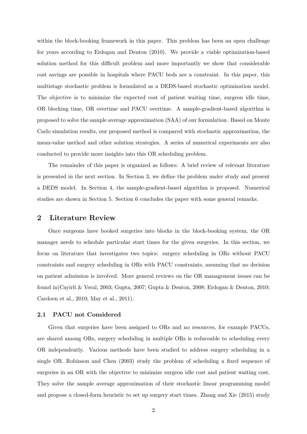within the block-booking framework in this paper. This problem has been an open challenge for years according to Erdogan and Denton (2010). We provide a viable optimization-based solution method for this difficult problem and more importantly we show that considerable cost savings are possible in hospitals where PACU beds are a constraint. In this paper, this multistage stochastic problem is formulated as a DEDS-based stochastic optimization model. The objective is to minimize the expected cost of patient waiting time, surgeon idle time, OR blocking time, OR overtime and PACU overtime. A sample-gradient-based algorithm is proposed to solve the sample average approximation (SAA) of our formulation. Based on Monte Carlo simulation results, our proposed method is compared with stochastic approximation, the mean-value method and other solution strategies. A series of numerical experiments are also conducted to provide more insights into this OR scheduling problem.

The remainder of this paper is organized as follows: A brief review of relevant literature is presented in the next section. In Section 3, we define the problem under study and present a DEDS model. In Section 4, the sample-gradient-based algorithm is proposed. Numerical studies are shown in Section 5. Section 6 concludes the paper with some general remarks.

## **2 Literature Review**

Once surgeons have booked surgeries into blocks in the block-booking system, the OR manager needs to schedule particular start times for the given surgeries. In this section, we focus on literature that investigates two topics: surgery scheduling in ORs without PACU constraints and surgery scheduling in ORs with PACU constraints, assuming that no decision on patient admission is involved. More general reviews on the OR management issues can be found in(Cayirli & Veral, 2003; Gupta, 2007; Gupta & Denton, 2008; Erdogan & Denton, 2010; Cardoen et al., 2010; May et al., 2011).

### **2.1 PACU not Considered**

Given that surgeries have been assigned to ORs and no resources, for example PACUs, are shared among ORs, surgery scheduling in multiple ORs is reduceable to scheduling every OR independently. Various methods have been studied to address surgery scheduling in a single OR. Robinson and Chen (2003) study the problem of scheduling a fixed sequence of surgeries in an OR with the objective to minimize surgeon idle cost and patient waiting cost. They solve the sample average approximation of their stochastic linear programming model and propose a closed-form heuristic to set up surgery start times. Zhang and Xie (2015) study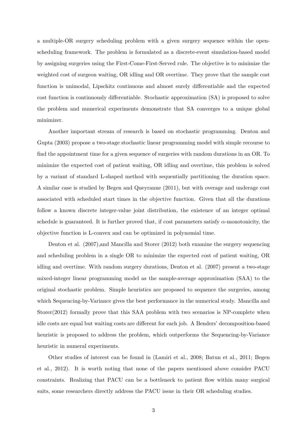a multiple-OR surgery scheduling problem with a given surgery sequence within the openscheduling framework. The problem is formulated as a discrete-event simulation-based model by assigning surgeries using the First-Come-First-Served rule. The objective is to minimize the weighted cost of surgeon waiting, OR idling and OR overtime. They prove that the sample cost function is unimodal, Lipschitz continuous and almost surely differentiable and the expected cost function is continuously differentiable. Stochastic approximation (SA) is proposed to solve the problem and numerical experiments demonstrate that SA converges to a unique global minimizer.

Another important stream of research is based on stochastic programming. Denton and Gupta (2003) propose a two-stage stochastic linear programming model with simple recourse to find the appointment time for a given sequence of surgeries with random durations in an OR. To minimize the expected cost of patient waiting, OR idling and overtime, this problem is solved by a variant of standard L-shaped method with sequentially partitioning the duration space. A similar case is studied by Begen and Queyranne (2011), but with overage and underage cost associated with scheduled start times in the objective function. Given that all the durations follow a known discrete integer-value joint distribution, the existence of an integer optimal schedule is guaranteed. It is further proved that, if cost parameters satisfy *α*-monotonicity, the objective function is L-convex and can be optimized in polynomial time.

Denton et al. (2007),and Mancilla and Storer (2012) both examine the surgery sequencing and scheduling problem in a single OR to minimize the expected cost of patient waiting, OR idling and overtime. With random surgery durations, Denton et al. (2007) present a two-stage mixed-integer linear programming model as the sample-average approximation (SAA) to the original stochastic problem. Simple heuristics are proposed to sequence the surgeries, among which Sequencing-by-Variance gives the best performance in the numerical study. Mancilla and Storer(2012) formally prove that this SAA problem with two scenarios is NP-complete when idle costs are equal but waiting costs are different for each job. A Benders' decomposition-based heuristic is proposed to address the problem, which outperforms the Sequencing-by-Variance heuristic in numeral experiments.

Other studies of interest can be found in (Lamiri et al., 2008; Batun et al., 2011; Begen et al., 2012). It is worth noting that none of the papers mentioned above consider PACU constraints. Realizing that PACU can be a bottleneck to patient flow within many surgical suits, some researchers directly address the PACU issue in their OR scheduling studies.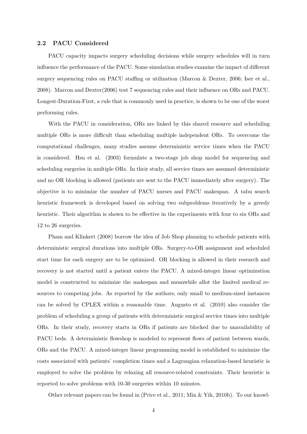#### **2.2 PACU Considered**

PACU capacity impacts surgery scheduling decisions while surgery schedules will in turn influence the performance of the PACU. Some simulation studies examine the impact of different surgery sequencing rules on PACU staffing or utilization (Marcon & Dexter, 2006; Iser et al., 2008). Marcon and Dexter(2006) test 7 sequencing rules and their influence on ORs and PACU. Longest-Duration-First, a rule that is commonly used in practice, is shown to be one of the worst performing rules.

With the PACU in consideration, ORs are linked by this shared resource and scheduling multiple ORs is more difficult than scheduling multiple independent ORs. To overcome the computational challenges, many studies assume deterministic service times when the PACU is considered. Hsu et al. (2003) formulate a two-stage job shop model for sequencing and scheduling surgeries in multiple ORs. In their study, all service times are assumed deterministic and no OR blocking is allowed (patients are sent to the PACU immediately after surgery). The objective is to minimize the number of PACU nurses and PACU makespan. A tabu search heuristic framework is developed based on solving two subproblems iteratively by a greedy heuristic. Their algorithm is shown to be effective in the experiments with four to six ORs and 12 to 26 surgeries.

Pham and Klinkert (2008) borrow the idea of Job Shop planning to schedule patients with deterministic surgical durations into multiple ORs. Surgery-to-OR assignment and scheduled start time for each surgery are to be optimized. OR blocking is allowed in their research and recovery is not started until a patient enters the PACU. A mixed-integer linear optimization model is constructed to minimize the makespan and meanwhile allot the limited medical resources to competing jobs. As reported by the authors, only small to medium-sized instances can be solved by CPLEX within a reasonable time. Augusto et al. (2010) also consider the problem of scheduling a group of patients with deterministic surgical service times into multiple ORs. In their study, recovery starts in ORs if patients are blocked due to unavailability of PACU beds. A deterministic flowshop is modeled to represent flows of patient between wards, ORs and the PACU. A mixed-integer linear programming model is established to minimize the costs associated with patients' completion times and a Lagrangian relaxation-based heuristic is employed to solve the problem by relaxing all resource-related constraints. Their heuristic is reported to solve problems with 10-30 surgeries within 10 minutes.

Other relevant papers can be found in (Price et al., 2011; Min & Yih, 2010b). To our knowl-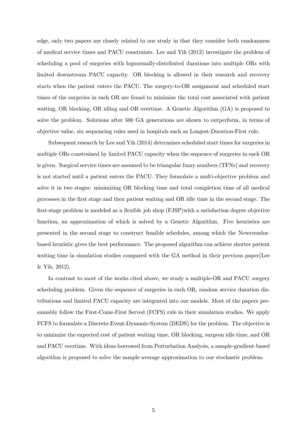edge, only two papers are closely related to our study in that they consider both randomness of medical service times and PACU constraints. Lee and Yih (2012) investigate the problem of scheduling a pool of surgeries with lognormally-distributed durations into multiple ORs with limited downstream PACU capacity. OR blocking is allowed in their research and recovery starts when the patient enters the PACU. The surgery-to-OR assignment and scheduled start times of the surgeries in each OR are found to minimize the total cost associated with patient waiting, OR blocking, OR idling and OR overtime. A Genetic Algorithm (GA) is proposed to solve the problem. Solutions after 500 GA generations are shown to outperform, in terms of objective value, six sequencing rules used in hospitals such as Longest-Duration-First rule.

Subsequent research by Lee and Yih (2014) determines scheduled start times for surgeries in multiple ORs constrained by limited PACU capacity when the sequence of surgeries in each OR is given. Surgical service times are assumed to be triangular fuzzy numbers (TFNs) and recovery is not started until a patient enters the PACU. They formulate a multi-objective problem and solve it in two stages: minimizing OR blocking time and total completion time of all medical processes in the first stage and then patient waiting and OR idle time in the second stage. The first-stage problem is modeled as a flexible job shop (FJSP)with a satisfaction degree objective function, an approximation of which is solved by a Genetic Algorithm. Five heuristics are presented in the second stage to construct feasible schedules, among which the Newsvendorbased heuristic gives the best performance. The proposed algorithm can achieve shorter patient waiting time in simulation studies compared with the GA method in their previous paper(Lee & Yih, 2012).

In contrast to most of the works cited above, we study a multiple-OR and PACU surgery scheduling problem. Given the sequence of surgeries in each OR, random service duration distributions and limited PACU capacity are integrated into our models. Most of the papers presumably follow the First-Come-First Served (FCFS) rule in their simulation studies. We apply FCFS to formulate a Discrete-Event-Dynamic-System (DEDS) for the problem. The objective is to minimize the expected cost of patient waiting time, OR blocking, surgeon idle time, and OR and PACU overtime. With ideas borrowed from Perturbation Analysis, a sample-gradient-based algorithm is proposed to solve the sample average approximation to our stochastic problem.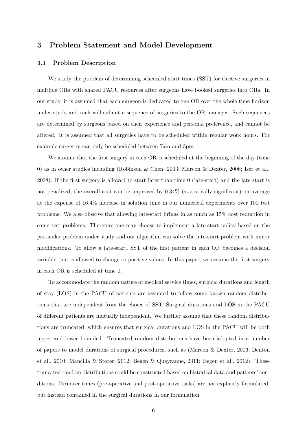## **3 Problem Statement and Model Development**

#### **3.1 Problem Description**

We study the problem of determining scheduled start times (SST) for elective surgeries in multiple ORs with shared PACU resources after surgeons have booked surgeries into ORs. In our study, it is assumed that each surgeon is dedicated to one OR over the whole time horizon under study and each will submit a sequence of surgeries to the OR manager. Such sequences are determined by surgeons based on their experience and personal preference, and cannot be altered. It is assumed that all surgeries have to be scheduled within regular work hours. For example surgeries can only be scheduled between 7am and 3pm.

We assume that the first surgery in each OR is scheduled at the beginning of the day (time 0) as in other studies including (Robinson & Chen, 2003; Marcon & Dexter, 2006; Iser et al., 2008). If the first surgery is allowed to start later than time 0 (late-start) and the late start is not penalized, the overall cost can be improved by 0.34% (statistically significant) on average at the expense of 16.4% increase in solution time in our numerical experiments over 100 test problems. We also observe that allowing late-start brings in as much as 15% cost reduction in some test problems. Therefore one may choose to implement a late-start policy based on the particular problem under study and our algorithm can solve the late-start problem with minor modifications. To allow a late-start, SST of the first patient in each OR becomes a decision variable that is allowed to change to positive values. In this paper, we assume the first surgery in each OR is scheduled at time 0.

To accommodate the random nature of medical service times, surgical durations and length of stay (LOS) in the PACU of patients are assumed to follow some known random distributions that are independent from the choice of SST. Surgical durations and LOS in the PACU of different patients are mutually independent. We further assume that these random distributions are truncated, which ensures that surgical durations and LOS in the PACU will be both upper and lower bounded. Truncated random distributions have been adopted in a number of papers to model durations of surgical procedures, such as (Marcon & Dexter, 2006; Denton et al., 2010; Mancilla & Storer, 2012; Begen & Queyranne, 2011; Begen et al., 2012). These truncated random distributions could be constructed based on historical data and patients' conditions. Turnover times (pre-operative and post-operative tasks) are not explicitly formulated, but instead contained in the surgical durations in our formulation.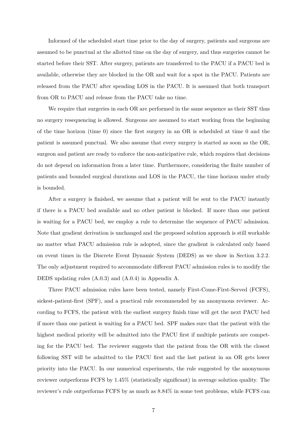Informed of the scheduled start time prior to the day of surgery, patients and surgeons are assumed to be punctual at the allotted time on the day of surgery, and thus surgeries cannot be started before their SST. After surgery, patients are transferred to the PACU if a PACU bed is available, otherwise they are blocked in the OR and wait for a spot in the PACU. Patients are released from the PACU after spending LOS in the PACU. It is assumed that both transport from OR to PACU and release from the PACU take no time.

We require that surgeries in each OR are performed in the same sequence as their SST thus no surgery resequencing is allowed. Surgeons are assumed to start working from the beginning of the time horizon (time 0) since the first surgery in an OR is scheduled at time 0 and the patient is assumed punctual. We also assume that every surgery is started as soon as the OR, surgeon and patient are ready to enforce the non-anticipative rule, which requires that decisions do not depend on information from a later time. Furthermore, considering the finite number of patients and bounded surgical durations and LOS in the PACU, the time horizon under study is bounded.

After a surgery is finished, we assume that a patient will be sent to the PACU instantly if there is a PACU bed available and no other patient is blocked. If more than one patient is waiting for a PACU bed, we employ a rule to determine the sequence of PACU admission. Note that gradient derivation is unchanged and the proposed solution approach is still workable no matter what PACU admission rule is adopted, since the gradient is calculated only based on event times in the Discrete Event Dynamic System (DEDS) as we show in Section 3.2.2. The only adjustment required to accommodate different PACU admission rules is to modify the DEDS updating rules (A.0.3) and (A.0.4) in Appendix A.

Three PACU admission rules have been tested, namely First-Come-First-Served (FCFS), sickest-patient-first (SPF), and a practical rule recommended by an anonymous reviewer. According to FCFS, the patient with the earliest surgery finish time will get the next PACU bed if more than one patient is waiting for a PACU bed. SPF makes sure that the patient with the highest medical priority will be admitted into the PACU first if multiple patients are competing for the PACU bed. The reviewer suggests that the patient from the OR with the closest following SST will be admitted to the PACU first and the last patient in an OR gets lower priority into the PACU. In our numerical experiments, the rule suggested by the anonymous reviewer outperforms FCFS by 1*.*45% (statistically significant) in average solution quality. The reviewer's rule outperforms FCFS by as much as 8.84% in some test problems, while FCFS can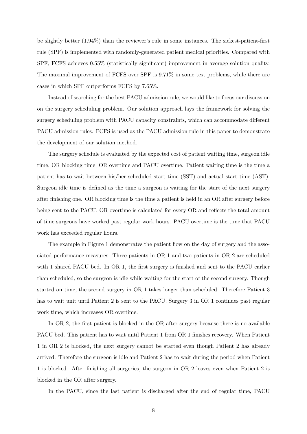be slightly better (1.94%) than the reviewer's rule in some instances. The sickest-patient-first rule (SPF) is implemented with randomly-generated patient medical priorities. Compared with SPF, FCFS achieves 0*.*55% (statistically significant) improvement in average solution quality. The maximal improvement of FCFS over SPF is 9.71% in some test problems, while there are cases in which SPF outperforms FCFS by 7.65%.

Instead of searching for the best PACU admission rule, we would like to focus our discussion on the surgery scheduling problem. Our solution approach lays the framework for solving the surgery scheduling problem with PACU capacity constraints, which can accommodate different PACU admission rules. FCFS is used as the PACU admission rule in this paper to demonstrate the development of our solution method.

The surgery schedule is evaluated by the expected cost of patient waiting time, surgeon idle time, OR blocking time, OR overtime and PACU overtime. Patient waiting time is the time a patient has to wait between his/her scheduled start time (SST) and actual start time (AST). Surgeon idle time is defined as the time a surgeon is waiting for the start of the next surgery after finishing one. OR blocking time is the time a patient is held in an OR after surgery before being sent to the PACU. OR overtime is calculated for every OR and reflects the total amount of time surgeons have worked past regular work hours. PACU overtime is the time that PACU work has exceeded regular hours.

The example in Figure 1 demonstrates the patient flow on the day of surgery and the associated performance measures. Three patients in OR 1 and two patients in OR 2 are scheduled with 1 shared PACU bed. In OR 1, the first surgery is finished and sent to the PACU earlier than scheduled, so the surgeon is idle while waiting for the start of the second surgery. Though started on time, the second surgery in OR 1 takes longer than scheduled. Therefore Patient 3 has to wait unit until Patient 2 is sent to the PACU. Surgery 3 in OR 1 continues past regular work time, which increases OR overtime.

In OR 2, the first patient is blocked in the OR after surgery because there is no available PACU bed. This patient has to wait until Patient 1 from OR 1 finishes recovery. When Patient 1 in OR 2 is blocked, the next surgery cannot be started even though Patient 2 has already arrived. Therefore the surgeon is idle and Patient 2 has to wait during the period when Patient 1 is blocked. After finishing all surgeries, the surgeon in OR 2 leaves even when Patient 2 is blocked in the OR after surgery.

In the PACU, since the last patient is discharged after the end of regular time, PACU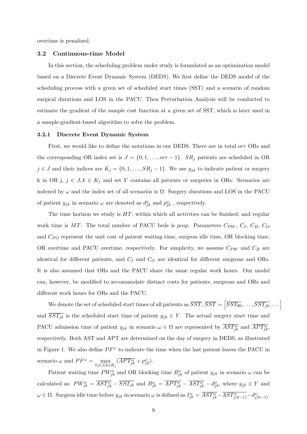overtime is penalized.

#### **3.2 Continuous-time Model**

In this section, the scheduling problem under study is formulated as an optimization model based on a Discrete Event Dynamic System (DEDS). We first define the DEDS model of the scheduling process with a given set of scheduled start times (SST) and a scenario of random surgical durations and LOS in the PACU. Then Perturbation Analysis will be conducted to estimate the gradient of the sample cost function at a given set of SST, which is later used in a sample-gradient-based algorithm to solve the problem.

#### **3.2.1 Discrete Event Dynamic System**

First, we would like to define the notations in our DEDS. There are in total *orr* ORs and the corresponding OR index set is  $J = \{0, 1, \ldots, or r - 1\}$ . *SR<sub>j</sub>* patients are scheduled in OR *j* ∈ *J* and their indices are  $K_j = \{0, 1, \ldots, SR_j - 1\}$ . We use  $y_{jk}$  to indicate patient or surgery k in OR j,  $j \in J, k \in K_j$  and set Y contains all patients or surgeries in ORs. Scenarios are indexed by  $\omega$  and the index set of all scenarios is  $\Omega$ . Surgery durations and LOS in the PACU of patient  $y_{jk}$  in scenario  $\omega$  are denoted as  $d_{jk}^{\omega}$  and  $p_{jk}^{\omega}$ , respectively.

The time horizon we study is *HT*, within which all activities can be finished; and regular work time is MT. The total number of PACU beds is *pcap*. Parameters  $C_{PW}$ ,  $C_I$ ,  $C_B$ ,  $C_O$ and  $C_{PO}$  represent the unit cost of patient waiting time, surgeon idle time, OR blocking time, OR overtime and PACU overtime, respectively. For simplicity, we assume *CPW* and *C<sup>B</sup>* are identical for different patients, and *C<sup>I</sup>* and *C<sup>O</sup>* are identical for different surgeons and ORs. It is also assumed that ORs and the PACU share the same regular work hours. Our model can, however, be modified to accommodate distinct costs for patients, surgeons and ORs and different work hours for ORs and the PACU.

We denote the set of scheduled start times of all patients as  $\overline{SST}, \overline{SST} = \left[\overline{SST_{00}}, \ldots, \overline{SST_{jk}}, \ldots\right]$ and  $\overline{SST_{jk}}$  is the scheduled start time of patient  $y_{jk} \in Y$ . The actual surgery start time and PACU admission time of patient  $y_{jk}$  in scenario  $\omega \in \Omega$  are represented by  $\overline{AST_{jk}^{\omega}}$  and  $\overline{APT_{jk}^{\omega}}$ , respectively. Both AST and APT are determined on the day of surgery in DEDS, as illustrated in Figure 1. We also define  $PF^{\omega}$  to indicate the time when the last patient leaves the PACU in scenario  $\omega$  and  $PF^{\omega} = \max_{\forall j \in J, k \in K_j} (\overline{APT^{\omega}_{jk}} + p^{\omega}_{jk}).$ 

Patient waiting time  $PW_{jk}^{\omega}$  and OR blocking time  $B_{jk}^{\omega}$  of patient  $y_{jk}$  in scenario  $\omega$  can be calculated as:  $PW_{jk}^{\omega} = \overline{AST_{jk}^{\omega}} - \overline{SST_{jk}}$  and  $B_{jk}^{\omega} = \overline{APT_{jk}^{\omega}} - \overline{AST_{jk}^{\omega}} - d_{jk}^{\omega}$ , where  $y_{jk} \in Y$  and  $\omega \in \Omega$ . Surgeon idle time before  $y_{jk}$  in scenario  $\omega$  is defined as  $I_{jk}^{\omega} = \overline{AST_{jk}^{\omega}} - \overline{AST_{j(k-1)}^{\omega}} - d_{j(k-1)}^{\omega}$ .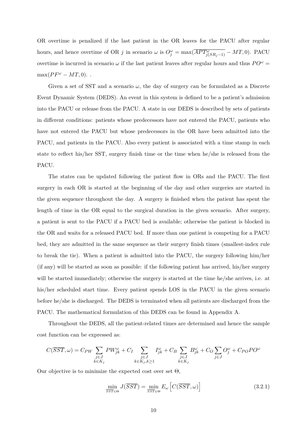OR overtime is penalized if the last patient in the OR leaves for the PACU after regular hours, and hence overtime of OR *j* in scenario  $\omega$  is  $O_j^{\omega} = \max(\overline{APT_{j(SR_j-1)}^{\omega}} - MT, 0)$ . PACU overtime is incurred in scenario  $\omega$  if the last patient leaves after regular hours and thus  $PO^{\omega}$  =  $\max(PF^{\omega} - MT, 0)$ .

Given a set of SST and a scenario  $\omega$ , the day of surgery can be formulated as a Discrete Event Dynamic System (DEDS). An event in this system is defined to be a patient's admission into the PACU or release from the PACU. A state in our DEDS is described by sets of patients in different conditions: patients whose predecessors have not entered the PACU, patients who have not entered the PACU but whose predecessors in the OR have been admitted into the PACU, and patients in the PACU. Also every patient is associated with a time stamp in each state to reflect his/her SST, surgery finish time or the time when he/she is released from the PACU.

The states can be updated following the patient flow in ORs and the PACU. The first surgery in each OR is started at the beginning of the day and other surgeries are started in the given sequence throughout the day. A surgery is finished when the patient has spent the length of time in the OR equal to the surgical duration in the given scenario. After surgery, a patient is sent to the PACU if a PACU bed is available; otherwise the patient is blocked in the OR and waits for a released PACU bed. If more than one patient is competing for a PACU bed, they are admitted in the same sequence as their surgery finish times (smallest-index rule to break the tie). When a patient is admitted into the PACU, the surgery following him/her (if any) will be started as soon as possible: if the following patient has arrived, his/her surgery will be started immediately; otherwise the surgery is started at the time he/she arrives, i.e. at his/her scheduled start time. Every patient spends LOS in the PACU in the given scenario before he/she is discharged. The DEDS is terminated when all patients are discharged from the PACU. The mathematical formulation of this DEDS can be found in Appendix A.

Throughout the DEDS, all the patient-related times are determined and hence the sample cost function can be expressed as:

$$
C(\overline{SST}, \omega) = C_{PW} \sum_{\substack{j \in J \\ k \in K_j}} PW_{jk}^{\omega} + C_I \sum_{\substack{j \in J \\ k \in K_j, k \ge 1}} I_{jk}^{\omega} + C_B \sum_{\substack{j \in J \\ k \in K_j}} B_{jk}^{\omega} + C_O \sum_{j \in J} O_j^{\omega} + C_{PO}PO^{\omega}
$$

Our objective is to minimize the expected cost over set  $\Theta$ ,

$$
\min_{\overline{SST} \in \Theta} J(\overline{SST}) = \min_{\overline{SST} \in \Theta} E_{\omega} \left[ C(\overline{SST}, \omega) \right]
$$
\n(3.2.1)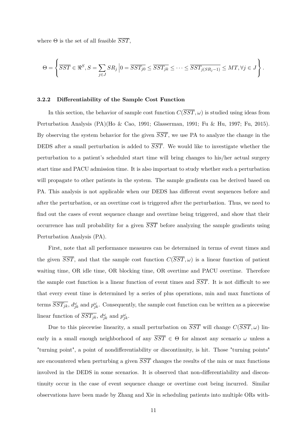where  $\Theta$  is the set of all feasible  $\overline{SST}$ ,

$$
\Theta = \left\{ \overline{SST} \in \Re^S, S = \sum_{j \in J} SR_j \left| 0 = \overline{SST_{j0}} \leq \overline{SST_{jk}} \leq \cdots \leq \overline{SST_{j(SR_j-1)}} \leq MT, \forall j \in J \right. \right\}.
$$

#### **3.2.2 Differentiability of the Sample Cost Function**

In this section, the behavior of sample cost function  $C(\overline{SST}, \omega)$  is studied using ideas from Perturbation Analysis (PA)(Ho & Cao, 1991; Glasserman, 1991; Fu & Hu, 1997; Fu, 2015). By observing the system behavior for the given *SST*, we use PA to analyze the change in the DEDS after a small perturbation is added to *SST*. We would like to investigate whether the perturbation to a patient's scheduled start time will bring changes to his/her actual surgery start time and PACU admission time. It is also important to study whether such a perturbation will propagate to other patients in the system. The sample gradients can be derived based on PA. This analysis is not applicable when our DEDS has different event sequences before and after the perturbation, or an overtime cost is triggered after the perturbation. Thus, we need to find out the cases of event sequence change and overtime being triggered, and show that their occurrence has null probability for a given *SST* before analyzing the sample gradients using Perturbation Analysis (PA).

First, note that all performance measures can be determined in terms of event times and the given  $\overline{SST}$ , and that the sample cost function  $C(\overline{SST}, \omega)$  is a linear function of patient waiting time, OR idle time, OR blocking time, OR overtime and PACU overtime. Therefore the sample cost function is a linear function of event times and *SST*. It is not difficult to see that every event time is determined by a series of plus operations, min and max functions of terms  $\overline{SST_{jk}}$ ,  $d_{jk}^{\omega}$  and  $p_{jk}^{\omega}$ . Consequently, the sample cost function can be written as a piecewise linear function of  $\overline{SST_{jk}}$ ,  $d_{jk}^{\omega}$  and  $p_{jk}^{\omega}$ .

Due to this piecewise linearity, a small perturbation on  $\overline{SST}$  will change  $C(\overline{SST}, \omega)$  linearly in a small enough neighborhood of any  $\overline{SST} \in \Theta$  for almost any scenario  $\omega$  unless a "turning point", a point of nondifferentiability or discontinuity, is hit. Those "turning points" are encountered when perturbing a given *SST* changes the results of the min or max functions involved in the DEDS in some scenarios. It is observed that non-differentiability and discontinuity occur in the case of event sequence change or overtime cost being incurred. Similar observations have been made by Zhang and Xie in scheduling patients into multiple ORs with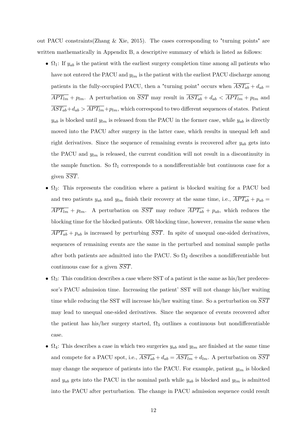out PACU constraints(Zhang & Xie, 2015). The cases corresponding to "turning points" are written mathematically in Appendix B, a descriptive summary of which is listed as follows:

- $\Omega_1$ : If  $y_{ab}$  is the patient with the earliest surgery completion time among all patients who have not entered the PACU and *ylm* is the patient with the earliest PACU discharge among patients in the fully-occupied PACU, then a "turning point" occurs when  $\overline{AST_{ab}} + d_{ab} =$  $\overline{APT_{lm}} + p_{lm}$ . A perturbation on  $\overline{SST}$  may result in  $\overline{AST_{ab}} + d_{ab} < \overline{APT_{lm}} + p_{lm}$  and  $\overline{AST_{ab}} + d_{ab}$   $\geq \overline{APT_{lm}} + p_{lm}$ , which correspond to two different sequences of states. Patient  $y_{ab}$  is blocked until  $y_{lm}$  is released from the PACU in the former case, while  $y_{ab}$  is directly moved into the PACU after surgery in the latter case, which results in unequal left and right derivatives. Since the sequence of remaining events is recovered after *yab* gets into the PACU and  $y_{lm}$  is released, the current condition will not result in a discontinuity in the sample function. So  $\Omega_1$  corresponds to a nondifferentiable but continuous case for a given *SST*.
- $\Omega_2$ : This represents the condition where a patient is blocked waiting for a PACU bed and two patients  $y_{ab}$  and  $y_{lm}$  finish their recovery at the same time, i.e.,  $\overline{APT_{ab}} + p_{ab} =$  $\overline{APT_{lm}}$  +  $p_{lm}$ . A perturbation on  $\overline{SST}$  may reduce  $\overline{APT_{ab}}$  +  $p_{ab}$ , which reduces the blocking time for the blocked patients. OR blocking time, however, remains the same when  $\overline{APT_{ab}} + p_{ab}$  is increased by perturbing  $\overline{SST}$ . In spite of unequal one-sided derivatives, sequences of remaining events are the same in the perturbed and nominal sample paths after both patients are admitted into the PACU. So  $\Omega_2$  describes a nondifferentiable but continuous case for a given *SST*.
- $\Omega_3$ : This condition describes a case where SST of a patient is the same as his/her predecessor's PACU admission time. Increasing the patient' SST will not change his/her waiting time while reducing the SST will increase his/her waiting time. So a perturbation on *SST* may lead to unequal one-sided derivatives. Since the sequence of events recovered after the patient has his/her surgery started,  $\Omega_3$  outlines a continuous but nondifferentiable case.
- $\Omega_4$ : This describes a case in which two surgeries  $y_{ab}$  and  $y_{lm}$  are finished at the same time and compete for a PACU spot, i.e.,  $\overline{AST_{ab}} + d_{ab} = \overline{AST_{lm}} + d_{lm}$ . A perturbation on  $\overline{SST}$ may change the sequence of patients into the PACU. For example, patient *ylm* is blocked and  $y_{ab}$  gets into the PACU in the nominal path while  $y_{ab}$  is blocked and  $y_{lm}$  is admitted into the PACU after perturbation. The change in PACU admission sequence could result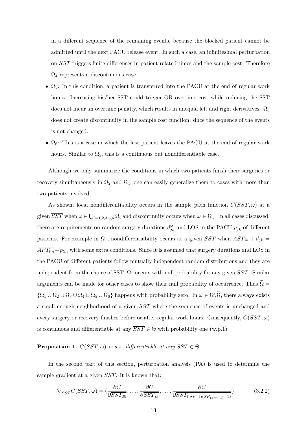in a different sequence of the remaining events, because the blocked patient cannot be admitted until the next PACU release event. In such a case, an infinitesimal perturbation on *SST* triggers finite differences in patient-related times and the sample cost. Therefore  $\Omega_4$  represents a discontinuous case.

- $\Omega_5$ : In this condition, a patient is transferred into the PACU at the end of regular work hours. Increasing his/her SST could trigger OR overtime cost while reducing the SST does not incur an overtime penalty, which results in unequal left and right derivatives.  $\Omega_5$ does not create discontinuity in the sample cost function, since the sequence of the events is not changed.
- $\Omega_6$ : This is a case in which the last patient leaves the PACU at the end of regular work hours. Similar to  $\Omega_5$ , this is a continuous but nondifferentiable case.

Although we only summarize the conditions in which two patients finish their surgeries or recovery simultaneously in  $\Omega_2$  and  $\Omega_4$ , one can easily generalize them to cases with more than two patients involved.

As shown, local nondifferentiability occurs in the sample path function  $C(\overline{SST}, \omega)$  at a given  $\overline{SST}$  when  $\omega \in \bigcup_{i=1,2,3,5,6} \Omega_i$  and discontinuity occurs when  $\omega \in \Omega_4$ . In all cases discussed, there are requirements on random surgery durations  $d_{jk}^{\omega}$  and LOS in the PACU  $p_{jk}^{\omega}$  of different patients. For example in  $\Omega_1$ , nondifferentiability occurs at a given  $\overline{SST}$  when  $\overline{AST_{jk}} + d_{jk} =$  $\overline{APT_{lm}} + p_{lm}$  with some extra conditions. Since it is assumed that surgery durations and LOS in the PACU of different patients follow mutually independent random distributions and they are independent from the choice of SST,  $\Omega_1$  occurs with null probability for any given  $\overline{SST}$ . Similar arguments can be made for other cases to show their null probability of occurrence. Thus  $\widetilde{\Omega} =$  ${\Omega_1 \cup \Omega_2 \cup \Omega_3 \cup \Omega_4 \cup \Omega_5 \cup \Omega_6}$  happens with probability zero. In  $\omega \in \Omega \backslash \tilde{\Omega}$ , there always exists a small enough neighborhood of a given *SST* where the sequence of events is unchanged and every surgery or recovery finishes before or after regular work hours. Consequently,  $C(\overline{SST}, \omega)$ is continuous and differentiable at any  $\overline{SST} \in \Theta$  with probability one (w.p.1).

## **Proposition 1.**  $C(\overline{SST}, \omega)$  *is a.s. differentiable at any*  $\overline{SST} \in \Theta$ .

In the second part of this section, perturbation analysis (PA) is used to determine the sample gradient at a given *SST*. It is known that:

$$
\nabla_{\overline{SST}} C(\overline{SST}, \omega) = (\frac{\partial C}{\partial \overline{SST_{00}}}, \dots, \frac{\partial C}{\partial \overline{SST_{jk}}}, \dots, \frac{\partial C}{\partial \overline{SST_{(orr-1)(SR_{(orr-1)}-1)}}})
$$
(3.2.2)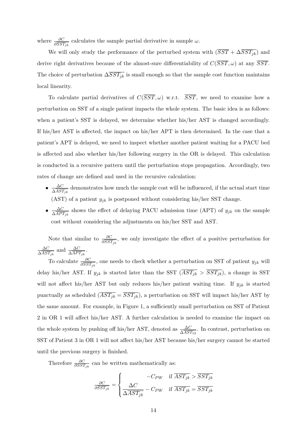where  $\frac{\partial C}{\partial \overline{SST_{jk}}}$  calculates the sample partial derivative in sample  $\omega$ .

We will only study the performance of the perturbed system with  $(\overline{SST} + \Delta \overline{SST_{jk}})$  and derive right derivatives because of the almost-sure differentiability of  $C(\overline{SST}, \omega)$  at any  $\overline{SST}$ . The choice of perturbation  $\Delta \overline{SST_{jk}}$  is small enough so that the sample cost function maintains local linearity.

To calculate partial derivatives of  $C(\overline{SST}, \omega)$  w.r.t.  $\overline{SST}$ , we need to examine how a perturbation on SST of a single patient impacts the whole system. The basic idea is as follows: when a patient's SST is delayed, we determine whether his/her AST is changed accordingly. If his/her AST is affected, the impact on his/her APT is then determined. In the case that a patient's APT is delayed, we need to inspect whether another patient waiting for a PACU bed is affected and also whether his/her following surgery in the OR is delayed. This calculation is conducted in a recursive pattern until the perturbation stops propagation. Accordingly, two rates of change are defined and used in the recursive calculation:

- $\bullet$   $\frac{\Delta C}{\Delta A C}$  $\frac{\Delta C}{\Delta \overline{AST}_{jk}}$  demonstrates how much the sample cost will be influenced, if the actual start time (AST) of a patient  $y_{jk}$  is postponed without considering his/her SST change.
- $\bullet$   $\frac{\Delta C}{\Delta \overline{ \Delta BC}}$  $\frac{\Delta C}{\Delta APT_{jk}}$  shows the effect of delaying PACU admission time (APT) of  $y_{jk}$  on the sample cost without considering the adjustments on his/her SST and AST.

Note that similar to  $\frac{\partial C}{\partial SST_{jk}}$ , we only investigate the effect of a positive perturbation for ∆*C*  $\frac{\Delta C}{\Delta A S T_{jk}}$  and  $\frac{\Delta C}{\Delta A P T_{jk}}$ .

To calculate  $\frac{\partial C}{\partial SST_{jk}}$ , one needs to check whether a perturbation on SST of patient  $y_{jk}$  will delay his/her AST. If  $y_{jk}$  is started later than the SST  $(\overline{AST_{jk}} > \overline{SST_{jk}})$ , a change in SST will not affect his/her AST but only reduces his/her patient waiting time. If *yjk* is started punctually as scheduled  $(\overline{AST_{jk}} = \overline{SST_{jk}})$ , a perturbation on SST will impact his/her AST by the same amount. For example, in Figure 1, a sufficiently small perturbation on SST of Patient 2 in OR 1 will affect his/her AST. A further calculation is needed to examine the impact on the whole system by pushing off his/her AST, denoted as  $\frac{\Delta C}{\Delta A ST_{12}}$ . In contrast, perturbation on SST of Patient 3 in OR 1 will not affect his/her AST because his/her surgery cannot be started until the previous surgery is finished.

Therefore  $\frac{\partial C}{\partial SST_{jk}}$  can be written mathematically as:

$$
\frac{\partial C}{\partial \overline{SST_{jk}}} = \begin{cases}\n-C_{PW} & \text{if } \overline{AST_{jk}} > \overline{SST_{jk}} \\
\frac{\Delta C}{\Delta \overline{AST_{jk}}} - C_{PW} & \text{if } \overline{AST_{jk}} = \overline{SST_{jk}}\n\end{cases}
$$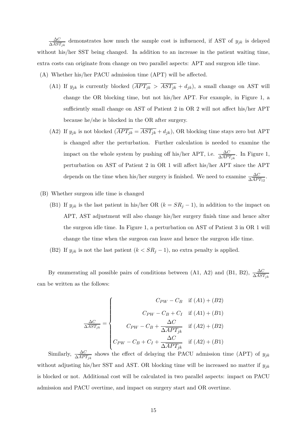∆*C*  $\frac{\Delta C}{\Delta AST_{jk}}$  demonstrates how much the sample cost is influenced, if AST of  $y_{jk}$  is delayed without his/her SST being changed. In addition to an increase in the patient waiting time, extra costs can originate from change on two parallel aspects: APT and surgeon idle time.

- (A) Whether his/her PACU admission time (APT) will be affected.
	- (A1) If  $y_{jk}$  is currently blocked  $\left(\overline{APT_{jk}} > \overline{AST_{jk}} + d_{jk}\right)$ , a small change on AST will change the OR blocking time, but not his/her APT. For example, in Figure 1, a sufficiently small change on AST of Patient 2 in OR 2 will not affect his/her APT because he/she is blocked in the OR after surgery.
	- (A2) If  $y_{jk}$  is not blocked  $(\overline{APT_{jk}} = \overline{AST_{jk}} + d_{jk})$ , OR blocking time stays zero but APT is changed after the perturbation. Further calculation is needed to examine the impact on the whole system by pushing off his/her APT, i.e.  $\frac{\Delta C}{\Delta A PT_{jk}}$ . In Figure 1, perturbation on AST of Patient 2 in OR 1 will affect his/her APT since the APT depends on the time when his/her surgery is finished. We need to examine  $\frac{\Delta C}{\Delta AP T_{12}}$ .
- (B) Whether surgeon idle time is changed
	- (B1) If  $y_{jk}$  is the last patient in his/her OR ( $k = SR_j 1$ ), in addition to the impact on APT, AST adjustment will also change his/her surgery finish time and hence alter the surgeon idle time. In Figure 1, a perturbation on AST of Patient 3 in OR 1 will change the time when the surgeon can leave and hence the surgeon idle time.
	- (B2) If  $y_{jk}$  is not the last patient  $(k < SR_j 1)$ , no extra penalty is applied.

By enumerating all possible pairs of conditions between (A1, A2) and (B1, B2),  $\frac{\Delta C}{\Delta AST_{jk}}$ can be written as the follows:

$$
\frac{\Delta C}{\Delta \overline{AST_{jk}}} = \begin{cases}\nC_{PW} - C_B & \text{if (A1) + (B2)} \\
C_{PW} - C_B + C_I & \text{if (A1) + (B1)} \\
C_{PW} - C_B + \frac{\Delta C}{\Delta A PT_{jk}} & \text{if (A2) + (B2)} \\
C_{PW} - C_B + C_I + \frac{\Delta C}{\Delta A PT_{jk}} & \text{if (A2) + (B1)}\n\end{cases}
$$

Similarly,  $\frac{\Delta C}{\Delta APT_{jk}}$  shows the effect of delaying the PACU admission time (APT) of  $y_{jk}$ without adjusting his/her SST and AST. OR blocking time will be increased no matter if *yjk* is blocked or not. Additional cost will be calculated in two parallel aspects: impact on PACU admission and PACU overtime, and impact on surgery start and OR overtime.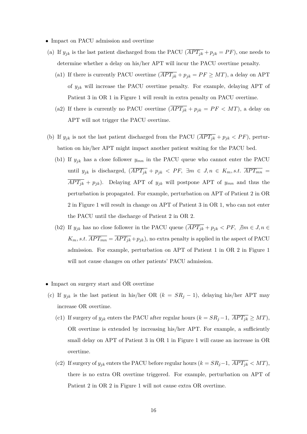- Impact on PACU admission and overtime
- (a) If  $y_{jk}$  is the last patient discharged from the PACU  $(\overline{APT_{jk}} + p_{jk} = PF)$ , one needs to determine whether a delay on his/her APT will incur the PACU overtime penalty.
	- (a1) If there is currently PACU overtime  $(\overline{APT_{jk}} + p_{jk} = PF \ge MT)$ , a delay on APT of *yjk* will increase the PACU overtime penalty. For example, delaying APT of Patient 3 in OR 1 in Figure 1 will result in extra penalty on PACU overtime.
	- (a2) If there is currently no PACU overtime  $(\overline{APT_{jk}} + p_{jk} = PF < MT)$ , a delay on APT will not trigger the PACU overtime.
- (b) If  $y_{jk}$  is not the last patient discharged from the PACU  $(\overline{APT_{jk}} + p_{jk} < PF)$ , perturbation on his/her APT might impact another patient waiting for the PACU bed.
	- (b1) If  $y_{jk}$  has a close follower  $y_{mn}$  in the PACU queue who cannot enter the PACU until  $y_{jk}$  is discharged,  $\left(\overline{APT_{jk}} + p_{jk} < PF$ ,  $\exists m \in J, n \in K_m, s.t.$   $\overline{APT_{mn}} =$  $\overline{APT_{jk}} + p_{jk}$ . Delaying APT of  $y_{jk}$  will postpone APT of  $y_{mn}$  and thus the perturbation is propagated. For example, perturbation on APT of Patient 2 in OR 2 in Figure 1 will result in change on APT of Patient 3 in OR 1, who can not enter the PACU until the discharge of Patient 2 in OR 2.
	- (b2) If  $y_{jk}$  has no close follower in the PACU queue  $\overline{(APT_{jk} + p_{jk} < PF, \ \exists m \in J, n \in J]}$  $K_m$ , *s.t.*  $\overline{APT_{mn}} = \overline{APT_{jk}} + p_{jk}$ , no extra penalty is applied in the aspect of PACU admission. For example, perturbation on APT of Patient 1 in OR 2 in Figure 1 will not cause changes on other patients' PACU admission.
- Impact on surgery start and OR overtime
- (c) If  $y_{jk}$  is the last patient in his/her OR ( $k = SR_j 1$ ), delaying his/her APT may increase OR overtime.
	- (c1) If surgery of  $y_{jk}$  enters the PACU after regular hours  $(k = SR_j 1, \overline{APT_{jk}} \ge MT)$ , OR overtime is extended by increasing his/her APT. For example, a sufficiently small delay on APT of Patient 3 in OR 1 in Figure 1 will cause an increase in OR overtime.
	- (c2) If surgery of  $y_{jk}$  enters the PACU before regular hours  $(k = SR_j 1, \overline{APT_{jk}} < MT)$ , there is no extra OR overtime triggered. For example, perturbation on APT of Patient 2 in OR 2 in Figure 1 will not cause extra OR overtime.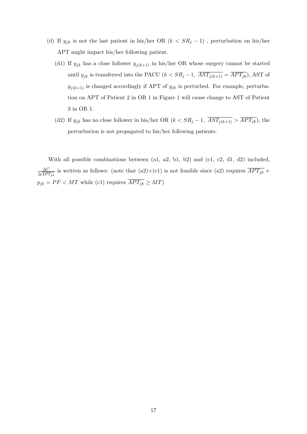- (d) If  $y_{jk}$  is not the last patient in his/her OR  $(k < SR_j 1)$ , perturbation on his/her APT might impact his/her following patient.
	- (d1) If  $y_{jk}$  has a close follower  $y_{j(k+1)}$  in his/her OR whose surgery cannot be started until *y<sub>jk</sub>* is transferred into the PACU ( $k < SR_j - 1$ ,  $\overline{AST_{j(k+1)}} = \overline{APT_{jk}}$ ), AST of  $y_{j(k+1)}$  is changed accordingly if APT of  $y_{jk}$  is perturbed. For example, perturbation on APT of Patient 2 in OR 1 in Figure 1 will cause change to AST of Patient 3 in OR 1.
	- (d2) If  $y_{jk}$  has no close follower in his/her OR  $(k < SR_j 1, \overline{AST_{j(k+1)} > APT_{jk}})$ , the perturbation is not propagated to his/her following patients.

With all possible combinations between  $(a1, a2, b1, b2)$  and  $(c1, c2, d1, d2)$  included, ∆*C*  $\frac{\Delta C}{\Delta APT_{jk}}$  is written as follows: (note that  $(a2)+(c1)$  is not feasible since  $(a2)$  requires  $APT_{jk}$  +  $p_{jk} = PF < MT$  while (c1) requires  $\overline{APT_{jk}} \geq MT)$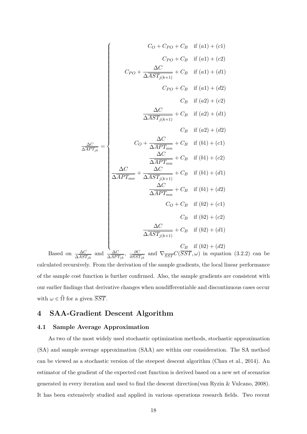$$
C_O + C_{PO} + C_B \quad \text{if } (a1) + (c1)
$$
\n
$$
C_{PO} + C_B \quad \text{if } (a1) + (c2)
$$
\n
$$
C_{PO} + \frac{\Delta C}{\Delta A S T_{j(k+1)}} + C_B \quad \text{if } (a1) + (d1)
$$
\n
$$
C_{PO} + C_B \quad \text{if } (a1) + (d2)
$$
\n
$$
C_B \quad \text{if } (a2) + (c2)
$$
\n
$$
\frac{\Delta C}{\Delta A S T_{j(k+1)}} + C_B \quad \text{if } (a2) + (d1)
$$
\n
$$
C_B \quad \text{if } (a2) + (d2)
$$
\n
$$
\frac{\Delta C}{\Delta A P T_{m}} + C_B \quad \text{if } (b1) + (c1)
$$
\n
$$
\frac{\Delta C}{\Delta A P T_{mn}} + C_B \quad \text{if } (b1) + (c2)
$$
\n
$$
\frac{\Delta C}{\Delta A P T_{mn}} + C_B \quad \text{if } (b1) + (d1)
$$
\n
$$
\frac{\Delta C}{\Delta A P T_{mn}} + C_B \quad \text{if } (b1) + (d2)
$$
\n
$$
C_O + C_B \quad \text{if } (b2) + (c1)
$$
\n
$$
C_B \quad \text{if } (b2) + (c2)
$$
\n
$$
\frac{\Delta C}{\Delta A S T_{j(k+1)}} + C_B \quad \text{if } (b2) + (d1)
$$
\n
$$
C_B \quad \text{if } (b2) + (d2)
$$

Based on  $\frac{\Delta C}{\Delta AST_{jk}}$  and  $\frac{\Delta C}{\Delta APT_{jk}}$ ,  $\frac{\partial C}{\partial SS^2}$  $\frac{\partial C}{\partial \overline{SST}_{jk}}$  and  $\nabla_{\overline{SST}} C(\overline{SST}, \omega)$  in equation (3.2.2) can be calculated recursively. From the derivation of the sample gradients, the local linear performance of the sample cost function is further confirmed. Also, the sample gradients are consistent with our earlier findings that derivative changes when nondifferentiable and discontinuous cases occur with  $\omega \in \tilde{\Omega}$  for a given  $\overline{SST}$ .

## **4 SAA-Gradient Descent Algorithm**

#### **4.1 Sample Average Approximation**

As two of the most widely used stochastic optimization methods, stochastic approximation (SA) and sample average approximation (SAA) are within our consideration. The SA method can be viewed as a stochastic version of the steepest descent algorithm (Chau et al., 2014). An estimator of the gradient of the expected cost function is derived based on a new set of scenarios generated in every iteration and used to find the descent direction(van Ryzin & Vulcano, 2008). It has been extensively studied and applied in various operations research fields. Two recent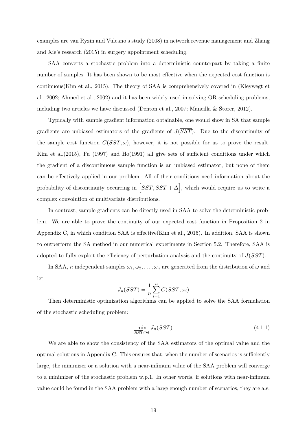examples are van Ryzin and Vulcano's study (2008) in network revenue management and Zhang and Xie's research (2015) in surgery appointment scheduling.

SAA converts a stochastic problem into a deterministic counterpart by taking a finite number of samples. It has been shown to be most effective when the expected cost function is continuous(Kim et al., 2015). The theory of SAA is comprehensively covered in (Kleywegt et al., 2002; Ahmed et al., 2002) and it has been widely used in solving OR scheduling problems, including two articles we have discussed (Denton et al., 2007; Mancilla & Storer, 2012).

Typically with sample gradient information obtainable, one would show in SA that sample gradients are unbiased estimators of the gradients of  $J(\overline{SST})$ . Due to the discontinuity of the sample cost function  $C(\overline{SST}, \omega)$ , however, it is not possible for us to prove the result. Kim et al.(2015), Fu (1997) and Ho(1991) all give sets of sufficient conditions under which the gradient of a discontinuous sample function is an unbiased estimator, but none of them can be effectively applied in our problem. All of their conditions need information about the probability of discontinuity occurring in  $\left[ \overline{SST}, \overline{SST} + \Delta \right]$ , which would require us to write a complex convolution of multivariate distributions.

In contrast, sample gradients can be directly used in SAA to solve the deterministic problem. We are able to prove the continuity of our expected cost function in Proposition 2 in Appendix C, in which condition SAA is effective(Kim et al., 2015). In addition, SAA is shown to outperform the SA method in our numerical experiments in Section 5.2. Therefore, SAA is adopted to fully exploit the efficiency of perturbation analysis and the continuity of  $J(\overline{SST})$ .

In SAA, *n* independent samples  $\omega_1, \omega_2, \ldots, \omega_n$  are generated from the distribution of  $\omega$  and let

$$
J_n(\overline{SST}) = \frac{1}{n} \sum_{i=1}^n C(\overline{SST}, \omega_i)
$$

Then deterministic optimization algorithms can be applied to solve the SAA formulation of the stochastic scheduling problem:

$$
\min_{\overline{SST} \in \Theta} J_n(\overline{SST}) \tag{4.1.1}
$$

We are able to show the consistency of the SAA estimators of the optimal value and the optimal solutions in Appendix C. This ensures that, when the number of scenarios is sufficiently large, the minimizer or a solution with a near-infimum value of the SAA problem will converge to a minimizer of the stochastic problem w.p.1. In other words, if solutions with near-infimum value could be found in the SAA problem with a large enough number of scenarios, they are a.s.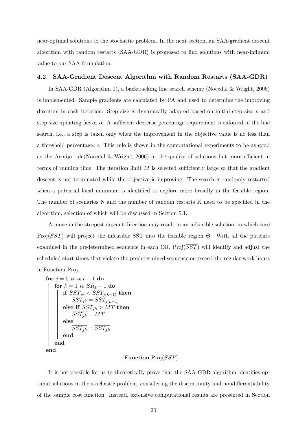near-optimal solutions to the stochastic problem. In the next section, an SAA-gradient descent algorithm with random restarts (SAA-GDR) is proposed to find solutions with near-infimum value to our SAA formulation.

#### **4.2 SAA-Gradient Descent Algorithm with Random Restarts (SAA-GDR)**

In SAA-GDR (Algorithm 1), a backtracking line search scheme (Nocedal & Wright, 2006) is implemented. Sample gradients are calculated by PA and used to determine the improving direction in each iteration. Step size is dynamically adapted based on initial step size *ρ* and step size updating factor  $\alpha$ . A sufficient decrease percentage requirement is enforced in the line search, i.e., a step is taken only when the improvement in the objective value is no less than a threshold percentage, *c*. This rule is shown in the computational experiments to be as good as the Armijo rule(Nocedal & Wright, 2006) in the quality of solutions but more efficient in terms of running time. The iteration limit *M* is selected sufficiently large so that the gradient descent is not terminated while the objective is improving. The search is randomly restarted when a potential local minimum is identified to explore more broadly in the feasible region. The number of scenarios N and the number of random restarts K need to be specified in the algorithm, selection of which will be discussed in Section 5.1.

A move in the steepest descent direction may result in an infeasible solution, in which case Proj(*SST*) will project the infeasible SST into the feasible region Θ. With all the patients examined in the predetermined sequence in each OR, Proj(*SST*) will identify and adjust the scheduled start times that violate the predetermined sequence or exceed the regular work hours

in Function Proj.

```
for j = 0 to orr - 1 do
    for k = 1 to SR<sub>i</sub> - 1 do
          if \overline{SST_{jk}} < \overline{SST_{j(k-1)}} then
            SST_{jk} = \overline{SST_{j(k-1)}}else if \overline{SST_{ik}} > MT then
           \overline{SST_{ik}} = MTelse
                \overline{SST_{jk}} = \overline{SST_{jk}}end
    end
end
```
### **Function** Proj(*SST*)

It is not possible for us to theoretically prove that the SAA-GDR algorithm identifies optimal solutions in the stochastic problem, considering the discontinuity and nondifferentiability of the sample cost function. Instead, extensive computational results are presented in Section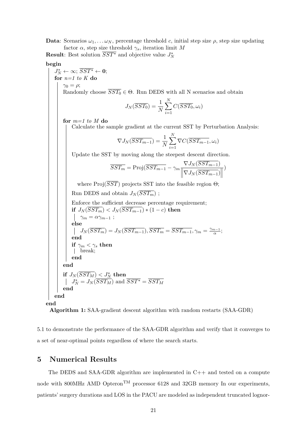**Data**: Scenarios  $\omega_1, \ldots, \omega_N$ , percentage threshold *c*, initial step size  $\rho$ , step size updating factor  $\alpha$ , step size threshold  $\gamma_s$ , iteration limit M **Result**: Best solution  $\overline{SST}^*$  and objective value  $J_N^*$ **begin**  $J_N^* \leftarrow \infty$ ;  $\overline{SST^*} \leftarrow 0$ ; **for** *n=1 to K* **do**  $\gamma_0 = \rho;$ Randomly choose  $\overline{SST_0} \in \Theta$ . Run DEDS with all N scenarios and obtain  $J_N(\overline{SST_0}) = \frac{1}{N}$  $\sum$ *N i*=1  $C(SST_0, \omega_i)$ **for** *m=1 to M* **do** Calculate the sample gradient at the current SST by Perturbation Analysis:  $\nabla J_N(\overline{SST_{m-1}}) = \frac{1}{N}$  $\sum$ *N i*=1  $\nabla C(\overline{SST_{m-1}},\omega_i)$ Update the SST by moving along the steepest descent direction.  $\overline{SST_m} = \text{Proj}(\overline{SST_{m-1}} - \gamma_m \frac{\nabla J_N(\overline{SST_{m-1}})}{\sqrt{J_N(\overline{SST_{m-1}})}})$  $\left\|\nabla J_N(\overline{SST_{m-1}})\right\|$ ) where  $\text{Proj}(\overline{SST})$  projects SST into the feasible region  $\Theta$ ; Run DEDS and obtain  $J_N(\overline{SST_m})$ ; Enforce the sufficient decrease percentage requirement; **if**  $J_N(\overline{SST_m}) < J_N(\overline{SST_{m-1}}) * (1-c)$  **then**  $\gamma_m = \alpha \gamma_{m-1}$ ; **else**  $J_N(\overline{SST_m}) = J_N(\overline{SST_{m-1}}), \overline{SST_m} = \overline{SST_{m-1}}, \gamma_m = \frac{\gamma_{m-1}}{\alpha}$  $\frac{n-1}{\alpha}$ ; **end**  $\mathbf{if}~ \gamma_m < \gamma_s~ \mathbf{then}$ break; **end end**  $\mathbf{if} \,\, J_N(\overline{SST_M}) < J_N^* \,\, \mathbf{then}$  $J_N^* = J_N(\overline{SST_M})$  and  $\overline{SST^*} = \overline{SST_M}$ **end end end Algorithm 1:** SAA-gradient descent algorithm with random restarts (SAA-GDR)

5.1 to demonstrate the performance of the SAA-GDR algorithm and verify that it converges to a set of near-optimal points regardless of where the search starts.

## **5 Numerical Results**

The DEDS and SAA-GDR algorithm are implemented in  $C_{++}$  and tested on a compute node with 800MHz AMD Opteron<sup>TM</sup> processor 6128 and 32GB memory In our experiments, patients' surgery durations and LOS in the PACU are modeled as independent truncated lognor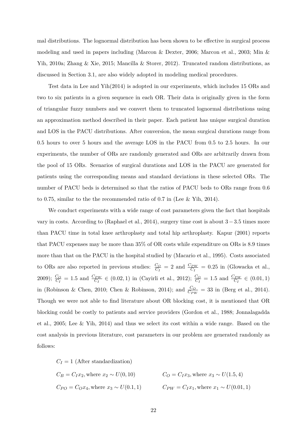mal distributions. The lognormal distribution has been shown to be effective in surgical process modeling and used in papers including (Marcon & Dexter, 2006; Marcon et al., 2003; Min & Yih, 2010a; Zhang & Xie, 2015; Mancilla & Storer, 2012). Truncated random distributions, as discussed in Section 3.1, are also widely adopted in modeling medical procedures.

Test data in Lee and Yih(2014) is adopted in our experiments, which includes 15 ORs and two to six patients in a given sequence in each OR. Their data is originally given in the form of triangular fuzzy numbers and we convert them to truncated lognormal distributions using an approximation method described in their paper. Each patient has unique surgical duration and LOS in the PACU distributions. After conversion, the mean surgical durations range from 0.5 hours to over 5 hours and the average LOS in the PACU from 0.5 to 2.5 hours. In our experiments, the number of ORs are randomly generated and ORs are arbitrarily drawn from the pool of 15 ORs. Scenarios of surgical durations and LOS in the PACU are generated for patients using the corresponding means and standard deviations in these selected ORs. The number of PACU beds is determined so that the ratios of PACU beds to ORs range from 0.6 to 0.75, similar to the the recommended ratio of 0.7 in (Lee & Yih, 2014).

We conduct experiments with a wide range of cost parameters given the fact that hospitals vary in costs. According to (Raphael et al., 2014), surgery time cost is about 3−3*.*5 times more than PACU time in total knee arthroplasty and total hip arthroplasty. Kapur (2001) reports that PACU expenses may be more than 35% of OR costs while expenditure on ORs is 8.9 times more than that on the PACU in the hospital studied by (Macario et al., 1995). Costs associated to ORs are also reported in previous studies:  $\frac{C_O}{C_I} = 2$  and  $\frac{C_{PW}}{C_I} = 0.25$  in (Glowacka et al., 2009);  $\frac{C_O}{C_I}$  = 1.5 and  $\frac{C_{PW}}{C_I}$   $\in (0.02, 1)$  in (Cayirli et al., 2012);  $\frac{C_O}{C_I}$  = 1.5 and  $\frac{C_{PW}}{C_I}$   $\in (0.01, 1)$ in (Robinson & Chen, 2010; Chen & Robinson, 2014); and  $\frac{C_O}{C_{PW}} = 33$  in (Berg et al., 2014). Though we were not able to find literature about OR blocking cost, it is mentioned that OR blocking could be costly to patients and service providers (Gordon et al., 1988; Jonnalagadda et al., 2005; Lee & Yih, 2014) and thus we select its cost within a wide range. Based on the cost analysis in previous literature, cost parameters in our problem are generated randomly as follows:

$$
C_I = 1
$$
 (After standardization)  
\n
$$
C_B = C_I x_2
$$
, where  $x_2 \sim U(0, 10)$   
\n
$$
C_O = C_I x_3
$$
, where  $x_3 \sim U(1.5, 4)$   
\n
$$
C_{PO} = C_O x_4
$$
, where  $x_3 \sim U(0.1, 1)$   
\n
$$
C_{PW} = C_I x_1
$$
, where  $x_1 \sim U(0.01, 1)$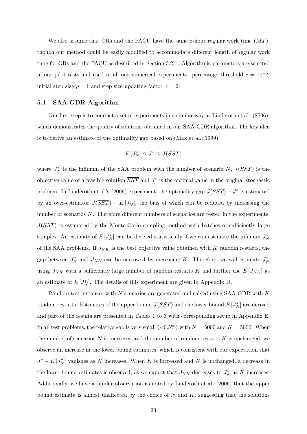We also assume that ORs and the PACU have the same 8-hour regular work time (*MT*), though our method could be easily modified to accommodate different length of regular work time for ORs and the PACU as described in Section 3.2.1. Algorithmic parameters are selected in our pilot tests and used in all our numerical experiments: percentage threshold  $c = 10^{-5}$ , initial step size  $\rho = 1$  and step size updating factor  $\alpha = 2$ .

#### **5.1 SAA-GDR Algorithm**

Our first step is to conduct a set of experiments in a similar way as Linderoth et al. (2006), which demonstrates the quality of solutions obtained in our SAA-GDR algorithm. The key idea is to derive an estimate of the optimality gap based on (Mak et al., 1999):

$$
E\left[J_N^*\right] \le J^* \le J(\overline{SST})
$$

where  $J_N^*$  is the infimum of the SAA problem with the number of scenario *N*,  $J(\overline{SST})$  is the objective value of a feasible solution  $\overline{SST}$  and  $J^*$  is the optimal value in the original stochastic problem. In Linderoth et al.'s (2006) experiment, the optimality gap  $J(\overline{SST}) - J^*$  is estimated by an over-estimator  $J(\overline{SST}) - E[J_N^*]$ , the bias of which can be reduced by increasing the number of scenarios *N*. Therefore different numbers of scenarios are tested in the experiments. *J*(*SST*) is estimated by the Monte-Carlo sampling method with batches of sufficiently large samples. An estimate of  $E[J_N^*]$  can be derived statistically if we can estimate the infimum  $J_N^*$ of the SAA problems. If *JNK* is the best objective value obtained with *K* random restarts, the gap between  $J_N^*$  and  $J_{NK}$  can be narrowed by increasing K. Therefore, we will estimate  $J_N^*$ using  $J_{NK}$  with a sufficiently large number of random restarts *K* and further use  $E[J_{NK}]$  as an estimate of  $E[J_N^*]$ . The details of this experiment are given in Appendix D.

Random test instances with *N* scenarios are generated and solved using SAA-GDR with *K* random restarts. Estimates of the upper bound  $J(\overline{SST})$  and the lower bound  $E[J_N^*]$  are derived and part of the results are presented in Tables 1 to 3 with corresponding setup in Appendix E. In all test problems, the relative gap is very small  $(<0.5\%)$  with  $N = 5000$  and  $K = 5000$ . When the number of scenarios *N* is increased and the number of random restarts *K* is unchanged, we observe an increase in the lower bound estimates, which is consistent with our expectation that  $J^* - E[J_N^*]$  vanishes as *N* increases. When *K* is increased and *N* is unchanged, a decrease in the lower bound estimates is observed, as we expect that  $J_{NK}$  decreases to  $J_N^*$  as  $K$  increases. Additionally, we have a similar observation as noted by Linderoth et al. (2006) that the upper bound estimate is almost unaffected by the choice of *N* and *K*, suggesting that the solutions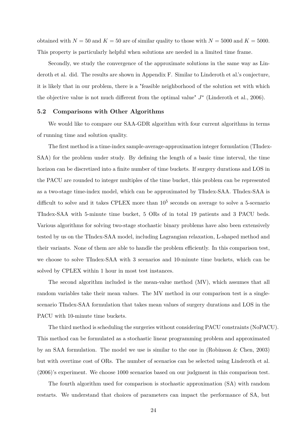obtained with  $N = 50$  and  $K = 50$  are of similar quality to those with  $N = 5000$  and  $K = 5000$ . This property is particularly helpful when solutions are needed in a limited time frame.

Secondly, we study the convergence of the approximate solutions in the same way as Linderoth et al. did. The results are shown in Appendix F. Similar to Linderoth et al.'s conjecture, it is likely that in our problem, there is a "feasible neighborhood of the solution set with which the objective value is not much different from the optimal value"  $J^*$  (Linderoth et al., 2006).

#### **5.2 Comparisons with Other Algorithms**

We would like to compare our SAA-GDR algorithm with four current algorithms in terms of running time and solution quality.

The first method is a time-index sample-average-approximation integer formulation (TIndex-SAA) for the problem under study. By defining the length of a basic time interval, the time horizon can be discretized into a finite number of time buckets. If surgery durations and LOS in the PACU are rounded to integer multiples of the time bucket, this problem can be represented as a two-stage time-index model, which can be approximated by TIndex-SAA. TIndex-SAA is difficult to solve and it takes CPLEX more than  $10<sup>5</sup>$  seconds on average to solve a 5-scenario TIndex-SAA with 5-minute time bucket, 5 ORs of in total 19 patients and 3 PACU beds. Various algorithms for solving two-stage stochastic binary problems have also been extensively tested by us on the TIndex-SAA model, including Lagrangian relaxation, L-shaped method and their variants. None of them are able to handle the problem efficiently. In this comparison test, we choose to solve TIndex-SAA with 3 scenarios and 10-minute time buckets, which can be solved by CPLEX within 1 hour in most test instances.

The second algorithm included is the mean-value method (MV), which assumes that all random variables take their mean values. The MV method in our comparison test is a singlescenario TIndex-SAA formulation that takes mean values of surgery durations and LOS in the PACU with 10-minute time buckets.

The third method is scheduling the surgeries without considering PACU constraints (NoPACU). This method can be formulated as a stochastic linear programming problem and approximated by an SAA formulation. The model we use is similar to the one in (Robinson & Chen, 2003) but with overtime cost of ORs. The number of scenarios can be selected using Linderoth et al. (2006)'s experiment. We choose 1000 scenarios based on our judgment in this comparison test.

The fourth algorithm used for comparison is stochastic approximation (SA) with random restarts. We understand that choices of parameters can impact the performance of SA, but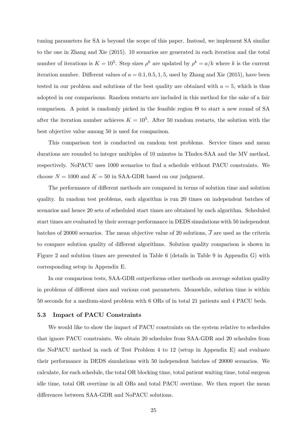tuning parameters for SA is beyond the scope of this paper. Instead, we implement SA similar to the one in Zhang and Xie (2015). 10 scenarios are generated in each iteration and the total number of iterations is  $K = 10^5$ . Step sizes  $\rho^k$  are updated by  $\rho^k = a/k$  where k is the current iteration number. Different values of  $a = 0.1, 0.5, 1, 5$ , used by Zhang and Xie (2015), have been tested in our problem and solutions of the best quality are obtained with  $a = 5$ , which is thus adopted in our comparisons. Random restarts are included in this method for the sake of a fair comparison. A point is randomly picked in the feasible region Θ to start a new round of SA after the iteration number achieves  $K = 10<sup>5</sup>$ . After 50 random restarts, the solution with the best objective value among 50 is used for comparison.

This comparison test is conducted on random test problems. Service times and mean durations are rounded to integer multiples of 10 minutes in TIndex-SAA and the MV method, respectively. NoPACU uses 1000 scenarios to find a schedule without PACU constraints. We choose  $N = 1000$  and  $K = 50$  in SAA-GDR based on our judgment.

The performance of different methods are compared in terms of solution time and solution quality. In random test problems, each algorithm is run 20 times on independent batches of scenarios and hence 20 sets of scheduled start times are obtained by each algorithm. Scheduled start times are evaluated by their average performance in DEDS simulations with 50 independent batches of 20000 scenarios. The mean objective value of 20 solutions,  $\overline{J}$  are used as the criteria to compare solution quality of different algorithms. Solution quality comparison is shown in Figure 2 and solution times are presented in Table 6 (details in Table 9 in Appendix G) with corresponding setup in Appendix E.

In our comparison tests, SAA-GDR outperforms other methods on average solution quality in problems of different sizes and various cost parameters. Meanwhile, solution time is within 50 seconds for a medium-sized problem with 6 ORs of in total 21 patients and 4 PACU beds.

#### **5.3 Impact of PACU Constraints**

We would like to show the impact of PACU constraints on the system relative to schedules that ignore PACU constraints. We obtain 20 schedules from SAA-GDR and 20 schedules from the NoPACU method in each of Test Problem 4 to 12 (setup in Appendix E) and evaluate their performance in DEDS simulations with 50 independent batches of 20000 scenarios. We calculate, for each schedule, the total OR blocking time, total patient waiting time, total surgeon idle time, total OR overtime in all ORs and total PACU overtime. We then report the mean differences between SAA-GDR and NoPACU solutions.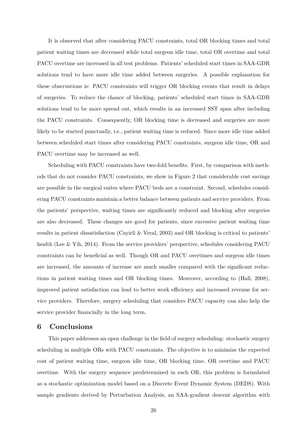It is observed that after considering PACU constraints, total OR blocking times and total patient waiting times are decreased while total surgeon idle time, total OR overtime and total PACU overtime are increased in all test problems. Patients' scheduled start times in SAA-GDR solutions tend to have more idle time added between surgeries. A possible explanation for these observations is: PACU constraints will trigger OR blocking events that result in delays of surgeries. To reduce the chance of blocking, patients' scheduled start times in SAA-GDR solutions tend to be more spread out, which results in an increased SST span after including the PACU constraints. Consequently, OR blocking time is decreased and surgeries are more likely to be started punctually, i.e., patient waiting time is reduced. Since more idle time added between scheduled start times after considering PACU constraints, surgeon idle time, OR and PACU overtime may be increased as well.

Scheduling with PACU constraints have two-fold benefits. First, by comparison with methods that do not consider PACU constraints, we show in Figure 2 that considerable cost savings are possible in the surgical suites where PACU beds are a constraint. Second, schedules considering PACU constraints maintain a better balance between patients and service providers. From the patients' perspective, waiting times are significantly reduced and blocking after surgeries are also decreased. These changes are good for patients, since excessive patient waiting time results in patient dissatisfaction (Cayirli & Veral, 2003) and OR blocking is critical to patients' health (Lee & Yih, 2014). From the service providers' perspective, schedules considering PACU constraints can be beneficial as well. Though OR and PACU overtimes and surgeon idle times are increased, the amounts of increase are much smaller compared with the significant reductions in patient waiting times and OR blocking times. Moreover, according to (Hall, 2008), improved patient satisfaction can lead to better work efficiency and increased revenue for service providers. Therefore, surgery scheduling that considers PACU capacity can also help the service provider financially in the long term.

## **6 Conclusions**

This paper addresses an open challenge in the field of surgery scheduling: stochastic surgery scheduling in multiple ORs with PACU constraints. The objective is to minimize the expected cost of patient waiting time, surgeon idle time, OR blocking time, OR overtime and PACU overtime. With the surgery sequence predetermined in each OR, this problem is formulated as a stochastic optimization model based on a Discrete Event Dynamic System (DEDS). With sample gradients derived by Perturbation Analysis, an SAA-gradient descent algorithm with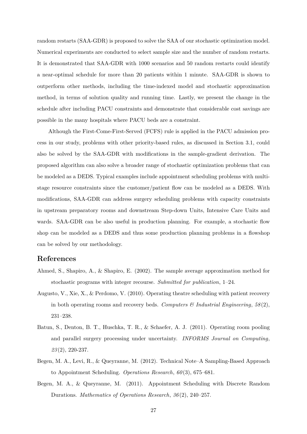random restarts (SAA-GDR) is proposed to solve the SAA of our stochastic optimization model. Numerical experiments are conducted to select sample size and the number of random restarts. It is demonstrated that SAA-GDR with 1000 scenarios and 50 random restarts could identify a near-optimal schedule for more than 20 patients within 1 minute. SAA-GDR is shown to outperform other methods, including the time-indexed model and stochastic approximation method, in terms of solution quality and running time. Lastly, we present the change in the schedule after including PACU constraints and demonstrate that considerable cost savings are possible in the many hospitals where PACU beds are a constraint.

Although the First-Come-First-Served (FCFS) rule is applied in the PACU admission process in our study, problems with other priority-based rules, as discussed in Section 3.1, could also be solved by the SAA-GDR with modifications in the sample-gradient derivation. The proposed algorithm can also solve a broader range of stochastic optimization problems that can be modeled as a DEDS. Typical examples include appointment scheduling problems with multistage resource constraints since the customer/patient flow can be modeled as a DEDS. With modifications, SAA-GDR can address surgery scheduling problems with capacity constraints in upstream preparatory rooms and downstream Step-down Units, Intensive Care Units and wards. SAA-GDR can be also useful in production planning. For example, a stochastic flow shop can be modeled as a DEDS and thus some production planning problems in a flowshop can be solved by our methodology.

## **References**

- Ahmed, S., Shapiro, A., & Shapiro, E. (2002). The sample average approximation method for stochastic programs with integer recourse. *Submitted for publication*, 1–24.
- Augusto, V., Xie, X., & Perdomo, V. (2010). Operating theatre scheduling with patient recovery in both operating rooms and recovery beds. *Computers & Industrial Engineering*,  $58(2)$ , 231–238.
- Batun, S., Denton, B. T., Huschka, T. R., & Schaefer, A. J. (2011). Operating room pooling and parallel surgery processing under uncertainty. *INFORMS Journal on Computing*, *23* (2), 220-237.
- Begen, M. A., Levi, R., & Queyranne, M. (2012). Technical Note–A Sampling-Based Approach to Appointment Scheduling. *Operations Research*, *60* (3), 675–681.
- Begen, M. A., & Queyranne, M. (2011). Appointment Scheduling with Discrete Random Durations. *Mathematics of Operations Research*, *36* (2), 240–257.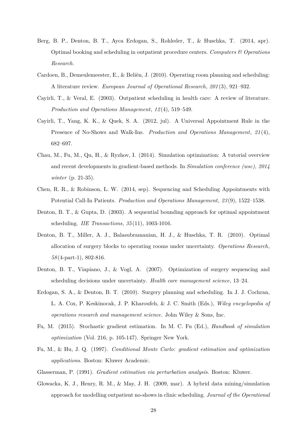- Berg, B. P., Denton, B. T., Ayca Erdogan, S., Rohleder, T., & Huschka, T. (2014, apr). Optimal booking and scheduling in outpatient procedure centers. *Computers & Operations Research*.
- Cardoen, B., Demeulemeester, E., & Beliën, J. (2010). Operating room planning and scheduling: A literature review. *European Journal of Operational Research*, *201* (3), 921–932.
- Cayirli, T., & Veral, E. (2003). Outpatient scheduling in health care: A review of literature. *Production and Operations Management*, *12* (4), 519–549.
- Cayirli, T., Yang, K. K., & Quek, S. A. (2012, jul). A Universal Appointment Rule in the Presence of No-Shows and Walk-Ins. *Production and Operations Management*, *21* (4), 682–697.
- Chau, M., Fu, M., Qu, H., & Ryzhov, I. (2014). Simulation optimization: A tutorial overview and recent developments in gradient-based methods. In *Simulation conference (wsc), 2014 winter* (p. 21-35).
- Chen, R. R., & Robinson, L. W. (2014, sep). Sequencing and Scheduling Appointments with Potential Call-In Patients. *Production and Operations Management*, *23* (9), 1522–1538.
- Denton, B. T., & Gupta, D. (2003). A sequential bounding approach for optimal appointment scheduling. *IIE Transactions*, *35* (11), 1003-1016.
- Denton, B. T., Miller, A. J., Balasubramanian, H. J., & Huschka, T. R. (2010). Optimal allocation of surgery blocks to operating rooms under uncertainty. *Operations Research*, *58* (4-part-1), 802-816.
- Denton, B. T., Viapiano, J., & Vogl, A. (2007). Optimization of surgery sequencing and scheduling decisions under uncertainty. *Health care management science*, 13–24.
- Erdogan, S. A., & Denton, B. T. (2010). Surgery planning and scheduling. In J. J. Cochran, L. A. Cox, P. Keskinocak, J. P. Kharoufeh, & J. C. Smith (Eds.), *Wiley encyclopedia of operations research and management science.* John Wiley & Sons, Inc.
- Fu, M. (2015). Stochastic gradient estimation. In M. C. Fu (Ed.), *Handbook of simulation optimization* (Vol. 216, p. 105-147). Springer New York.
- Fu, M., & Hu, J. Q. (1997). *Conditional Monte Carlo: gradient estimation and optimization applications*. Boston: Kluwer Academic.
- Glasserman, P. (1991). *Gradient estimation via perturbation analysis*. Boston: Kluwer.
- Glowacka, K. J., Henry, R. M., & May, J. H. (2009, mar). A hybrid data mining/simulation approach for modelling outpatient no-shows in clinic scheduling. *Journal of the Operational*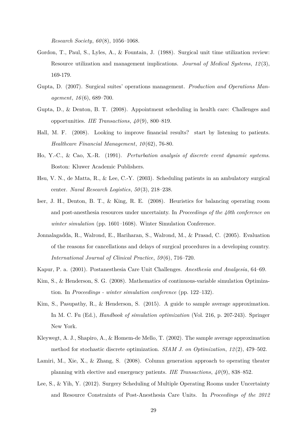*Research Society*, *60* (8), 1056–1068.

- Gordon, T., Paul, S., Lyles, A., & Fountain, J. (1988). Surgical unit time utilization review: Resource utilization and management implications. *Journal of Medical Systems*, *12* (3), 169-179.
- Gupta, D. (2007). Surgical suites' operations management. *Production and Operations Management*, *16* (6), 689–700.
- Gupta, D., & Denton, B. T. (2008). Appointment scheduling in health care: Challenges and opportunities. *IIE Transactions*, *40* (9), 800–819.
- Hall, M. F. (2008). Looking to improve financial results? start by listening to patients. *Healthcare Financial Management*, *10* (62), 76-80.
- Ho, Y.-C., & Cao, X.-R. (1991). *Perturbation analysis of discrete event dynamic systems*. Boston: Kluwer Academic Publishers.
- Hsu, V. N., de Matta, R., & Lee, C.-Y. (2003). Scheduling patients in an ambulatory surgical center. *Naval Research Logistics*, *50* (3), 218–238.
- Iser, J. H., Denton, B. T., & King, R. E. (2008). Heuristics for balancing operating room and post-anesthesia resources under uncertainty. In *Proceedings of the 40th conference on winter simulation* (pp. 1601–1608). Winter Simulation Conference.
- Jonnalagadda, R., Walrond, E., Hariharan, S., Walrond, M., & Prasad, C. (2005). Evaluation of the reasons for cancellations and delays of surgical procedures in a developing country. *International Journal of Clinical Practice*, *59* (6), 716–720.
- Kapur, P. a. (2001). Postanesthesia Care Unit Challenges. *Anesthesia and Analgesia*, 64–69.
- Kim, S., & Henderson, S. G. (2008). Mathematics of continuous-variable simulation Optimization. In *Proceedings - winter simulation conference* (pp. 122–132).
- Kim, S., Pasupathy, R., & Henderson, S. (2015). A guide to sample average approximation. In M. C. Fu (Ed.), *Handbook of simulation optimization* (Vol. 216, p. 207-243). Springer New York.
- Kleywegt, A. J., Shapiro, A., & Homem-de Mello, T. (2002). The sample average approximation method for stochastic discrete optimization. *SIAM J. on Optimization*, 12(2), 479–502.
- Lamiri, M., Xie, X., & Zhang, S. (2008). Column generation approach to operating theater planning with elective and emergency patients. *IIE Transactions*, *40* (9), 838–852.
- Lee, S., & Yih, Y. (2012). Surgery Scheduling of Multiple Operating Rooms under Uncertainty and Resource Constraints of Post-Anesthesia Care Units. In *Proceedings of the 2012*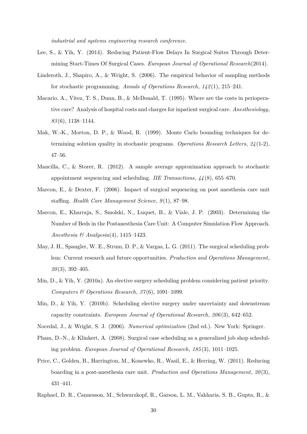*industrial and systems engineering research conference.*

- Lee, S., & Yih, Y. (2014). Reducing Patient-Flow Delays In Surgical Suites Through Determining Start-Times Of Surgical Cases. *European Journal of Operational Research*(2014).
- Linderoth, J., Shapiro, A., & Wright, S. (2006). The empirical behavior of sampling methods for stochastic programming. *Annals of Operations Research*, *142* (1), 215–241.
- Macario, A., Vitez, T. S., Dunn, B., & McDonald, T. (1995). Where are the costs in perioperative care? Analysis of hospital costs and charges for inpatient surgical care. *Anesthesiology*, *83* (6), 1138–1144.
- Mak, W.-K., Morton, D. P., & Wood, R. (1999). Monte Carlo bounding techniques for determining solution quality in stochastic programs. *Operations Research Letters*, *24* (1-2), 47–56.
- Mancilla, C., & Storer, R. (2012). A sample average approximation approach to stochastic appointment sequencing and scheduling. *IIE Transactions*, *44* (8), 655–670.
- Marcon, E., & Dexter, F. (2006). Impact of surgical sequencing on post anesthesia care unit staffing. *Health Care Management Science*, *9* (1), 87–98.
- Marcon, E., Kharraja, S., Smolski, N., Luquet, B., & Viale, J. P. (2003). Determining the Number of Beds in the Postanesthesia Care Unit: A Computer Simulation Flow Approach. *Anesthesia & Analgesia*(4), 1415–1423.
- May, J. H., Spangler, W. E., Strum, D. P., & Vargas, L. G. (2011). The surgical scheduling problem: Current research and future opportunities. *Production and Operations Management*, *20* (3), 392–405.
- Min, D., & Yih, Y. (2010a). An elective surgery scheduling problem considering patient priority. *Computers & Operations Research*, *37* (6), 1091–1099.
- Min, D., & Yih, Y. (2010b). Scheduling elective surgery under uncertainty and downstream capacity constraints. *European Journal of Operational Research*, *206* (3), 642–652.
- Nocedal, J., & Wright, S. J. (2006). *Numerical optimization* (2nd ed.). New York: Springer.
- Pham, D.-N., & Klinkert, A. (2008). Surgical case scheduling as a generalized job shop scheduling problem. *European Journal of Operational Research*, *185* (3), 1011–1025.
- Price, C., Golden, B., Harrington, M., Konewko, R., Wasil, E., & Herring, W. (2011). Reducing boarding in a post-anesthesia care unit. *Production and Operations Management*, *20* (3), 431–441.
- Raphael, D. R., Cannesson, M., Schwarzkopf, R., Garson, L. M., Vakharia, S. B., Gupta, R., &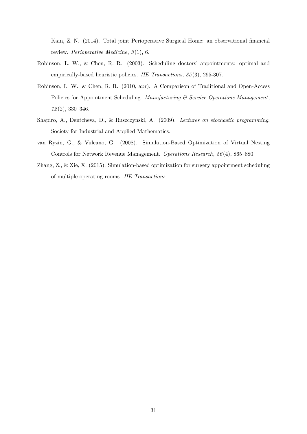Kain, Z. N. (2014). Total joint Perioperative Surgical Home: an observational financial review. *Perioperative Medicine*, *3* (1), 6.

- Robinson, L. W., & Chen, R. R. (2003). Scheduling doctors' appointments: optimal and empirically-based heuristic policies. *IIE Transactions*, *35* (3), 295-307.
- Robinson, L. W., & Chen, R. R. (2010, apr). A Comparison of Traditional and Open-Access Policies for Appointment Scheduling. *Manufacturing & Service Operations Management*, *12* (2), 330–346.
- Shapiro, A., Dentcheva, D., & Ruszczynski, A. (2009). *Lectures on stochastic programming*. Society for Industrial and Applied Mathematics.
- van Ryzin, G., & Vulcano, G. (2008). Simulation-Based Optimization of Virtual Nesting Controls for Network Revenue Management. *Operations Research*, *56* (4), 865–880.
- Zhang, Z., & Xie, X. (2015). Simulation-based optimization for surgery appointment scheduling of multiple operating rooms. *IIE Transactions*.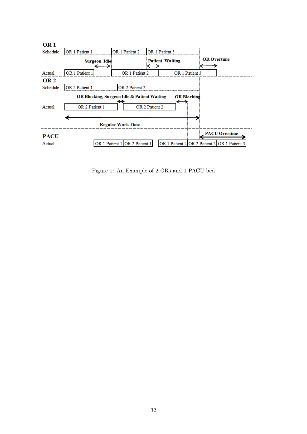

Figure 1: An Example of 2 ORs and 1 PACU bed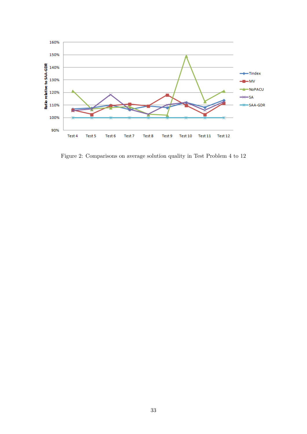

Figure 2: Comparisons on average solution quality in Test Problem 4 to 12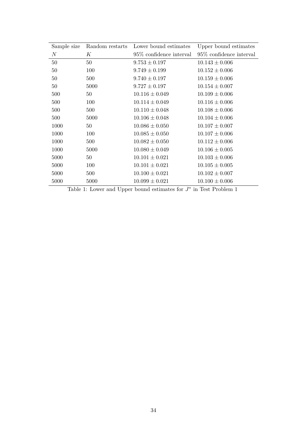| Sample size      | Random restarts | Lower bound estimates    | Upper bound estimates      |
|------------------|-----------------|--------------------------|----------------------------|
| $\boldsymbol{N}$ | К               | 95\% confidence interval | $95\%$ confidence interval |
| 50               | 50              | $9.753 \pm 0.197$        | $10.143 \pm 0.006$         |
| 50               | 100             | $9.749 \pm 0.199$        | $10.152 \pm 0.006$         |
| 50               | 500             | $9.740 \pm 0.197$        | $10.159 \pm 0.006$         |
| 50               | 5000            | $9.727 \pm 0.197$        | $10.154 \pm 0.007$         |
| 500              | 50              | $10.116 \pm 0.049$       | $10.109 \pm 0.006$         |
| 500              | 100             | $10.114 \pm 0.049$       | $10.116 \pm 0.006$         |
| 500              | 500             | $10.110 \pm 0.048$       | $10.108 \pm 0.006$         |
| 500              | 5000            | $10.106 \pm 0.048$       | $10.104 \pm 0.006$         |
| 1000             | 50              | $10.086 \pm 0.050$       | $10.107 \pm 0.007$         |
| 1000             | 100             | $10.085 \pm 0.050$       | $10.107 \pm 0.006$         |
| 1000             | 500             | $10.082 \pm 0.050$       | $10.112 \pm 0.006$         |
| 1000             | 5000            | $10.080 \pm 0.049$       | $10.106 \pm 0.005$         |
| 5000             | 50              | $10.101 \pm 0.021$       | $10.103 \pm 0.006$         |
| 5000             | 100             | $10.101 \pm 0.021$       | $10.105 \pm 0.005$         |
| 5000             | 500             | $10.100 \pm 0.021$       | $10.102 \pm 0.007$         |
| 5000             | 5000            | $10.099 \pm 0.021$       | $10.100 \pm 0.006$         |

Table 1: Lower and Upper bound estimates for  $J^*$  in Test Problem 1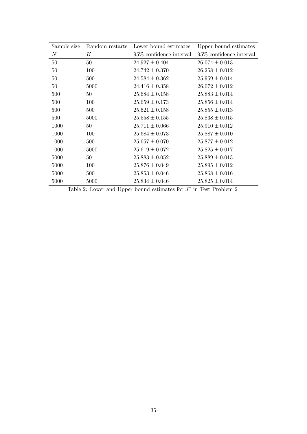| Sample size      | Random restarts | Lower bound estimates    | Upper bound estimates      |
|------------------|-----------------|--------------------------|----------------------------|
| $\boldsymbol{N}$ | К               | 95\% confidence interval | $95\%$ confidence interval |
| 50               | 50              | $24.927 \pm 0.404$       | $26.074 \pm 0.013$         |
| 50               | 100             | $24.742 \pm 0.370$       | $26.258 \pm 0.012$         |
| 50               | 500             | $24.584 \pm 0.362$       | $25.959 \pm 0.014$         |
| 50               | 5000            | $24.416 \pm 0.358$       | $26.072 \pm 0.012$         |
| 500              | 50              | $25.684 \pm 0.158$       | $25.883 \pm 0.014$         |
| 500              | 100             | $25.659 \pm 0.173$       | $25.856 \pm 0.014$         |
| 500              | 500             | $25.621 \pm 0.158$       | $25.855 \pm 0.013$         |
| 500              | 5000            | $25.558 \pm 0.155$       | $25.838 \pm 0.015$         |
| 1000             | 50              | $25.711 \pm 0.066$       | $25.910 \pm 0.012$         |
| 1000             | 100             | $25.684 \pm 0.073$       | $25.887 \pm 0.010$         |
| 1000             | 500             | $25.657 \pm 0.070$       | $25.877 \pm 0.012$         |
| 1000             | 5000            | $25.619 \pm 0.072$       | $25.825 \pm 0.017$         |
| 5000             | 50              | $25.883 \pm 0.052$       | $25.889 \pm 0.013$         |
| 5000             | 100             | $25.876 \pm 0.049$       | $25.895 \pm 0.012$         |
| 5000             | 500             | $25.853 \pm 0.046$       | $25.868 \pm 0.016$         |
| 5000             | 5000            | $25.834 \pm 0.046$       | $25.825 \pm 0.014$         |

Table 2: Lower and Upper bound estimates for  $J^*$  in Test Problem 2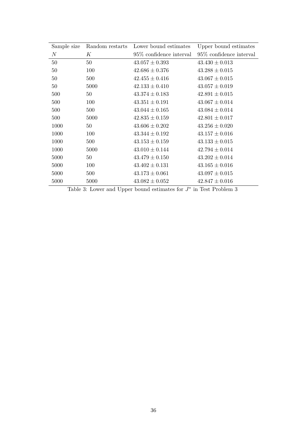| Sample size | Random restarts | Lower bound estimates      | Upper bound estimates      |
|-------------|-----------------|----------------------------|----------------------------|
| $\,N$       | К               | $95\%$ confidence interval | $95\%$ confidence interval |
| 50          | 50              | $43.057 \pm 0.393$         | $43.430 \pm 0.013$         |
| 50          | 100             | $42.686 \pm 0.376$         | $43.288 \pm 0.015$         |
| 50          | 500             | $42.455 \pm 0.416$         | $43.067 \pm 0.015$         |
| 50          | 5000            | $42.133 \pm 0.410$         | $43.057 \pm 0.019$         |
| 500         | 50              | $43.374 \pm 0.183$         | $42.891 \pm 0.015$         |
| 500         | 100             | $43.351 \pm 0.191$         | $43.067 \pm 0.014$         |
| 500         | 500             | $43.044 \pm 0.165$         | $43.084 \pm 0.014$         |
| 500         | 5000            | $42.835 \pm 0.159$         | $42.801 \pm 0.017$         |
| 1000        | 50              | $43.606 \pm 0.202$         | $43.256 \pm 0.020$         |
| 1000        | 100             | $43.344 \pm 0.192$         | $43.157 \pm 0.016$         |
| 1000        | 500             | $43.153 \pm 0.159$         | $43.133 \pm 0.015$         |
| 1000        | 5000            | $43.010 \pm 0.144$         | $42.794 \pm 0.014$         |
| 5000        | 50              | $43.479 \pm 0.150$         | $43.202 \pm 0.014$         |
| 5000        | 100             | $43.402 \pm 0.131$         | $43.165 \pm 0.016$         |
| 5000        | 500             | $43.173 \pm 0.061$         | $43.097 \pm 0.015$         |
| 5000        | 5000            | $43.082 \pm 0.052$         | $42.847 \pm 0.016$         |

Table 3: Lower and Upper bound estimates for  $J^*$  in Test Problem 3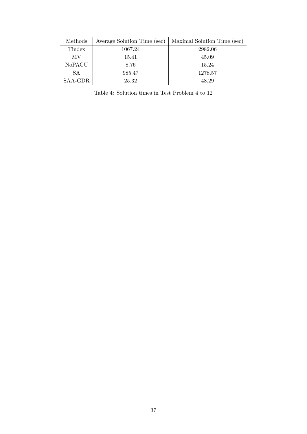| Methods   | Average Solution Time (sec) | Maximal Solution Time (sec) |
|-----------|-----------------------------|-----------------------------|
| Tindex    | 1067.24                     | 2982.06                     |
| МV        | 15.41                       | 45.09                       |
| NoPACU    | 8.76                        | 15.24                       |
| <b>SA</b> | 985.47                      | 1278.57                     |
| SAA-GDR   | 25.32                       | 48.29                       |

Table 4: Solution times in Test Problem 4 to 12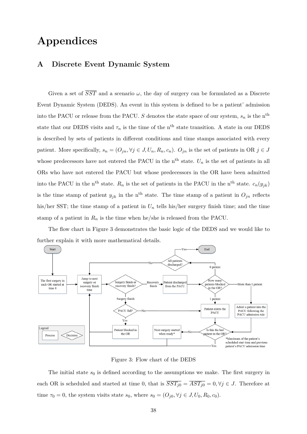## **Appendices**

## **A Discrete Event Dynamic System**

Given a set of  $\overline{SST}$  and a scenario  $\omega$ , the day of surgery can be formulated as a Discrete Event Dynamic System (DEDS). An event in this system is defined to be a patient' admission into the PACU or release from the PACU. *S* denotes the state space of our system,  $s_n$  is the n<sup>th</sup> state that our DEDS visits and  $\tau_n$  is the time of the n<sup>th</sup> state transition. A state in our DEDS is described by sets of patients in different conditions and time stamps associated with every patient. More specifically,  $s_n = (O_{jn}, \forall j \in J, U_n, R_n, c_n)$ .  $O_{jn}$  is the set of patients in OR  $j \in J$ whose predecessors have not entered the PACU in the n<sup>th</sup> state.  $U_n$  is the set of patients in all ORs who have not entered the PACU but whose predecessors in the OR have been admitted into the PACU in the n<sup>th</sup> state.  $R_n$  is the set of patients in the PACU in the n<sup>th</sup> state.  $c_n(y_{jk})$ is the time stamp of patient  $y_{jk}$  in the n<sup>th</sup> state. The time stamp of a patient in  $O_{jn}$  reflects his/her SST; the time stamp of a patient in  $U_n$  tells his/her surgery finish time; and the time stamp of a patient in  $R_n$  is the time when he/she is released from the PACU.

The flow chart in Figure 3 demonstrates the basic logic of the DEDS and we would like to further explain it with more mathematical details.



Figure 3: Flow chart of the DEDS

The initial state  $s_0$  is defined according to the assumptions we make. The first surgery in each OR is scheduled and started at time 0, that is  $\overline{SST_{j0}} = \overline{AST_{j0}} = 0, \forall j \in J$ . Therefore at time  $\tau_0 = 0$ , the system visits state  $s_0$ , where  $s_0 = (O_{j0}, \forall j \in J, U_0, R_0, c_0)$ .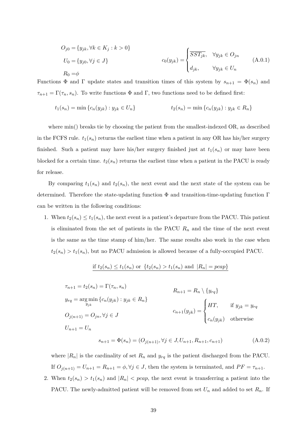$$
O_{j0} = \{y_{jk}, \forall k \in K_j : k > 0\}
$$
  
\n
$$
U_0 = \{y_{j0}, \forall j \in J\}
$$
  
\n
$$
R_0 = \phi
$$
  
\n
$$
C_0(y_{jk}) = \begin{cases} \overline{SST_{jk}}, & \forall y_{jk} \in O_{jn} \\ d_{jk}, & \forall y_{jk} \in U_n \end{cases}
$$
  
\n
$$
(A.0.1)
$$

Functions  $\Phi$  and  $\Gamma$  update states and transition times of this system by  $s_{n+1} = \Phi(s_n)$  and  $\tau_{n+1} = \Gamma(\tau_n, s_n)$ . To write functions  $\Phi$  and  $\Gamma$ , two functions need to be defined first:

$$
t_1(s_n) = \min \{c_n(y_{jk}) : y_{jk} \in U_n\} \qquad t_2(s_n) = \min \{c_n(y_{jk}) : y_{jk} \in R_n\}
$$

where min() breaks tie by choosing the patient from the smallest-indexed OR, as described in the FCFS rule.  $t_1(s_n)$  returns the earliest time when a patient in any OR has his/her surgery finished. Such a patient may have his/her surgery finished just at  $t_1(s_n)$  or may have been blocked for a certain time.  $t_2(s_n)$  returns the earliest time when a patient in the PACU is ready for release.

By comparing  $t_1(s_n)$  and  $t_2(s_n)$ , the next event and the next state of the system can be determined. Therefore the state-updating function  $\Phi$  and transition-time-updating function  $\Gamma$ can be written in the following conditions:

1. When  $t_2(s_n) \le t_1(s_n)$ , the next event is a patient's departure from the PACU. This patient is eliminated from the set of patients in the PACU  $R_n$  and the time of the next event is the same as the time stamp of him/her. The same results also work in the case when  $t_2(s_n) > t_1(s_n)$ , but no PACU admission is allowed because of a fully-occupied PACU.

if 
$$
t_2(s_n) \le t_1(s_n)
$$
 or  $\{t_2(s_n) > t_1(s_n)$  and  $|R_n| = pcap\}$ 

$$
\tau_{n+1} = t_2(s_n) = \Gamma(\tau_n, s_n)
$$
  
\n
$$
y_{rq} = \underset{y_{jk}}{\arg \min} \{c_n(y_{jk}) : y_{jk} \in R_n\}
$$
  
\n
$$
O_{j(n+1)} = O_{jn}, \forall j \in J
$$
  
\n
$$
U_{n+1} = U_n
$$
  
\n
$$
U_{n+1} = U_n
$$
  
\n
$$
T, \quad \text{if } y_{jk} = y_{rq}
$$
  
\n
$$
C_{n+1}(y_{jk}) = \begin{cases} HT, & \text{if } y_{jk} = y_{rq} \\ c_n(y_{jk}) & \text{otherwise} \end{cases}
$$

$$
s_{n+1} = \Phi(s_n) = (O_{j(n+1)}, \forall j \in J, U_{n+1}, R_{n+1}, c_{n+1})
$$
\n(A.0.2)

where  $|R_n|$  is the cardinality of set  $R_n$  and  $y_{rq}$  is the patient discharged from the PACU. If  $O_{j(n+1)} = U_{n+1} = R_{n+1} = \phi, \forall j \in J$ , then the system is terminated, and  $PF = \tau_{n+1}$ . 2. When  $t_2(s_n) > t_1(s_n)$  and  $|R_n| < pcap$ , the next event is transferring a patient into the PACU. The newly-admitted patient will be removed from set  $U_n$  and added to set  $R_n$ . If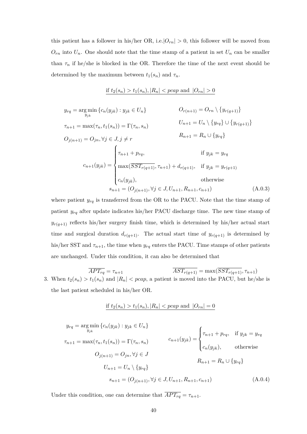this patient has a follower in his/her OR, i.e.  $|O_{rn}| > 0$ , this follower will be moved from  $O_{rn}$  into  $U_n$ . One should note that the time stamp of a patient in set  $U_n$  can be smaller than  $\tau_n$  if he/she is blocked in the OR. Therefore the time of the next event should be determined by the maximum between  $t_1(s_n)$  and  $\tau_n$ .

if 
$$
t_2(s_n) > t_1(s_n)
$$
,  $|R_n| < pcap$  and  $|O_{rn}| > 0$ 

$$
y_{rq} = \arg\min_{y_{jk}} \{c_n(y_{jk}) : y_{jk} \in U_n\}
$$
  
\n
$$
\tau_{n+1} = \max(\tau_n, t_1(s_n)) = \Gamma(\tau_n, s_n)
$$
  
\n
$$
O_{j(n+1)} = O_{jn}, \forall j \in J, j \neq r
$$
  
\n
$$
C_{j(n+1)} = O_{jn}, \forall j \in J, j \neq r
$$
  
\n
$$
P_{n+1} = R_n \cup \{y_{rq}\}
$$
  
\n
$$
C_{n+1}(y_{jk}) = \begin{cases} \tau_{n+1} + p_{rq}, & \text{if } y_{jk} = y_{rq} \\ \max(\overline{SST_{r(q+1)}}, \tau_{n+1}) + d_{r(q+1)}, & \text{if } y_{jk} = y_{r(q+1)} \\ c_n(y_{jk}), & \text{otherwise} \end{cases}
$$
  
\n
$$
s_{n+1} = (O_{j(n+1)}, \forall j \in J, U_{n+1}, R_{n+1}, c_{n+1})
$$
  
\n(A.0.3)

where patient  $y_{rq}$  is transferred from the OR to the PACU. Note that the time stamp of patient *yrq* after update indicates his/her PACU discharge time. The new time stamp of  $y_{r(q+1)}$  reflects his/her surgery finish time, which is determined by his/her actual start time and surgical duration  $d_{r(q+1)}$ . The actual start time of  $y_{r(q+1)}$  is determined by his/her SST and  $\tau_{n+1}$ , the time when  $y_{rq}$  enters the PACU. Time stamps of other patients are unchanged. Under this condition, it can also be determined that

$$
\overline{APT_{rq}} = \tau_{n+1}
$$
\n3. When  $t_2(s_n) > t_1(s_n)$  and  $|R_n| < pcap$ , a patient is moved into the PACU, but he/she is the last patient scheduled in his/her OR.

if 
$$
t_2(s_n) > t_1(s_n)
$$
,  $|R_n| < pcap$  and  $|O_{rn}| = 0$ 

$$
y_{rq} = \arg\min_{y_{jk}} \{c_n(y_{jk}) : y_{jk} \in U_n\}
$$
  
\n
$$
\tau_{n+1} = \max(\tau_n, t_1(s_n)) = \Gamma(\tau_n, s_n)
$$
  
\n
$$
C_{j(n+1)} = O_{jn}, \forall j \in J
$$
  
\n
$$
U_{n+1} = U_n \setminus \{y_{rq}\}
$$
  
\n
$$
S_{n+1} = (O_{j(n+1)}, \forall j \in J, U_{n+1}, R_{n+1}, c_{n+1})
$$
  
\n
$$
C_{j(n+1)} = (O_{j(n+1)}, \forall j \in J, U_{n+1}, R_{n+1}, c_{n+1})
$$
  
\n
$$
C_{j(n+1)} = (O_{j(n+1)}, \forall j \in J, U_{n+1}, R_{n+1}, c_{n+1})
$$
  
\n
$$
(A.0.4)
$$

Under this condition, one can determine that  $\overline{APT_{rq}} = \tau_{n+1}$ .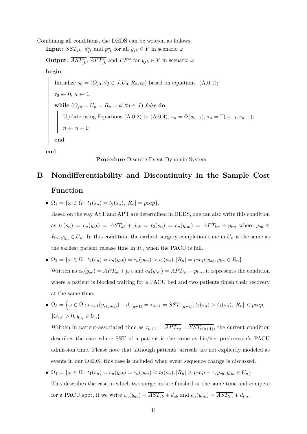Combining all conditions, the DEDS can be written as follows: **Input**:  $\overline{SST_{jk}}$ ,  $d_{jk}^{\omega}$  and  $p_{jk}^{\omega}$  for all  $y_{jk} \in Y$  in scenario  $\omega$ 

**Output**:  $\overline{AST_{jk}^{\omega}}$ ,  $\overline{APT_{jk}^{\omega}}$  and  $PF^{\omega}$  for  $y_{jk} \in Y$  in scenario  $\omega$ 

**begin**

Initialize  $s_0 = (O_{j0}, \forall j \in J, U_0, R_0, c_0)$  based on equations (A.0.1);  $\tau_0 \leftarrow 0, n \leftarrow 1;$  $\mathbf{while} \ (O_{jn} = U_n = R_n = \phi, \forall j \in J) \ false \ \mathbf{do}$ Update using Equations (A.0.2) to (A.0.4),  $s_n = \Phi(s_{n-1}), \tau_n = \Gamma(\tau_{n-1}, s_{n-1});$  $n \leftarrow n + 1;$ **end**

**end**

#### **Procedure** Discrete Event Dynamic System

## **B Nondifferentiability and Discontinuity in the Sample Cost Function**

•  $\Omega_1 = \{ \omega \in \Omega : t_1(s_n) = t_2(s_n), |R_n| = pcap \}.$ 

Based on the way AST and APT are determined in DEDS, one can also write this condition as  $t_1(s_n) = c_n(y_{ab}) = \overline{AST_{ab}} + d_{ab} = t_2(s_n) = c_n(y_{lm}) = \overline{APT_{lm}} + p_{lm}$  where  $y_{ab} \in$  $R_n, y_{lm} \in U_n$ . In this condition, the earliest surgery completion time in  $U_n$  is the same as the earliest patient release time in  $R_n$  when the PACU is full.

- $\Omega_2 = {\omega \in \Omega : t_2(s_n) = c_n(y_{ab}) = c_n(y_{lm}) > t_1(s_n), |R_n| = pcap, y_{ab}, y_{lm} \in R_n}.$ Written as  $c_n(y_{ab}) = \overline{APT_{ab}} + p_{ab}$  and  $c_n(y_{lm}) = \overline{APT_{lm}} + p_{lm}$ , it represents the condition where a patient is blocked waiting for a PACU bed and two patients finish their recovery at the same time.
- $\Omega_3 = \left\{ \omega \in \Omega : c_{n+1}(y_{r(q+1)}) d_{r(q+1)} = \tau_{n+1} = \overline{SST_{r(q+1)}}, t_2(s_n) > t_1(s_n), |R_n| < pcap, \right\}$  $|O_{rq}| > 0, y_{rq} \in U_n$

Written in patient-associated time as  $\tau_{n+1} = \overline{APT_{rq}} = \overline{SST_{r(q+1)}}$ , the current condition describes the case where SST of a patient is the same as his/her predecessor's PACU admission time. Please note that although patients' arrivals are not explicitly modeled as events in our DEDS, this case is included when event sequence change is discussed.

•  $\Omega_4 = {\omega \in \Omega : t_1(s_n) = c_n(y_{ab}) = c_n(y_{lm}) < t_2(s_n), |R_n| \geq pcap - 1, y_{ab}, y_{lm} \in U_n}.$ This describes the case in which two surgeries are finished at the same time and compete for a PACU spot, if we write  $c_n(y_{ab}) = \overline{AST_{ab}} + d_{ab}$  and  $c_n(y_{lm}) = \overline{AST_{lm}} + d_{lm}$ .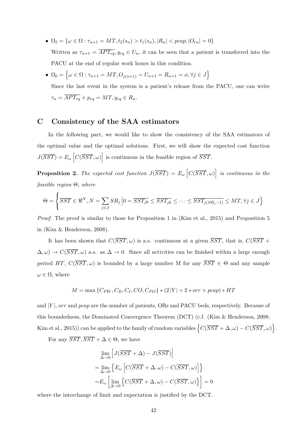- $\bullet$  Ω<sub>5</sub> = { $\omega \in \Omega : \tau_{n+1} = MT, t_2(s_n) > t_1(s_n), |R_n| < pcap, |O_{rn}| = 0$ } Written as  $\tau_{n+1} = \overline{APT_{rq}}$ ,  $y_{rq} \in U_n$ , it can be seen that a patient is transferred into the PACU at the end of regular work hours in this condition.
- $\Omega_6 = \left\{ \omega \in \Omega : \tau_{n+1} = MT, O_{j(n+1)} = U_{n+1} = R_{n+1} = \phi, \forall j \in J \right\}$

Since the last event in the system is a patient's release from the PACU, one can write  $\tau_n = \overline{APT_{rq}} + p_{rq} = MT, y_{rq} \in R_n.$ 

## **C Consistency of the SAA estimators**

In the following part, we would like to show the consistency of the SAA estimators of the optimal value and the optimal solutions. First, we will show the expected cost function  $J(\overline{SST}) = E_\omega \left[ C(\overline{SST}, \omega) \right]$  is continuous in the feasible region of  $\overline{SST}$ .

**Proposition 2.** The expected cost function  $J(\overline{SST}) = E_\omega \left[ C(\overline{SST}, \omega) \right]$  is continuous in the *feasible region* Θ*, where*

$$
\Theta = \left\{ \overline{SST} \in \mathbb{R}^N, N = \sum_{j \in J} SR_j \left| 0 = \overline{SST_{j0}} \le \overline{SST_{jk}} \le \dots \le \overline{SST_{j(SR_j - 1)}} \le MT, \forall j \in J \right\}
$$

*Proof.* The proof is similar to those for Proposition 1 in (Kim et al., 2015) and Proposition 5 in (Kim & Henderson, 2008).

It has been shown that  $C(\overline{SST}, \omega)$  is a.s. continuous at a given  $\overline{SST}$ , that is,  $C(\overline{SST} +$  $\Delta, \omega$ ) →  $C(\overline{SST}, \omega)$  a.s. as  $\Delta \to 0$ . Since all activities can be finished within a large enough period *HT*,  $C(\overline{SST}, \omega)$  is bounded by a large number M for any  $\overline{SST} \in \Theta$  and any sample  $\omega \in \Omega$ , where

$$
M = \max \{ C_{PW}, C_B, C_I, CO, C_{PO} \} * (2|Y| + 2 * orr + pcap) * HT
$$

and |*Y*|, *orr* and *pcap* are the number of patients, ORs and PACU beds, respectively. Because of this boundedness, the Dominated Convergence Theorem (DCT) (c.f. (Kim & Henderson, 2008; Kim et al., 2015)) can be applied to the family of random variables  $\left\{C(\overline{SST} + \Delta, \omega) - C(\overline{SST}, \omega)\right\}$ .

For any  $\overline{SST}, \overline{SST} + \Delta \in \Theta$ , we have

$$
\lim_{\Delta \to 0} \left[ J(\overline{SST} + \Delta) - J(\overline{SST}) \right]
$$
  
= 
$$
\lim_{\Delta \to 0} \left\{ E_{\omega} \left[ C(\overline{SST} + \Delta, \omega) - C(\overline{SST}, \omega) \right] \right\}
$$
  
= 
$$
E_{\omega} \left[ \lim_{\Delta \to 0} \left\{ C(\overline{SST} + \Delta, \omega) - C(\overline{SST}, \omega) \right\} \right] = 0
$$

where the interchange of limit and expectation is justified by the DCT.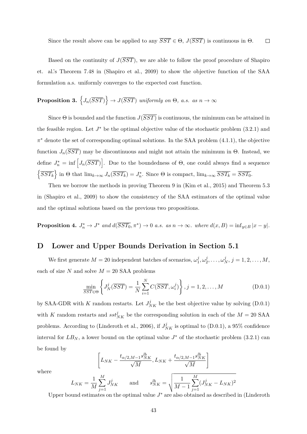Since the result above can be applied to any  $\overline{SST} \in \Theta$ ,  $J(\overline{SST})$  is continuous in  $\Theta$ .  $\Box$ 

Based on the continuity of  $J(\overline{SST})$ , we are able to follow the proof procedure of Shapiro et. al.'s Theorem 7.48 in (Shapiro et al., 2009) to show the objective function of the SAA formulation a.s. uniformly converges to the expected cost function.

## **Proposition 3.**  $\left\{J_n(\overline{SST})\right\} \rightarrow J(\overline{SST})$  *uniformly on*  $\Theta$ *, a.s. as*  $n \rightarrow \infty$

Since  $\Theta$  is bounded and the function  $J(\overline{SST})$  is continuous, the minimum can be attained in the feasible region. Let  $J^*$  be the optimal objective value of the stochastic problem  $(3.2.1)$  and *π* <sup>∗</sup> denote the set of corresponding optimal solutions. In the SAA problem (4.1.1), the objective function  $J_n(\overline{SST})$  may be discontinuous and might not attain the minimum in  $\Theta$ . Instead, we define  $J_n^* = \inf \left[ J_n(\overline{SST}) \right]$ . Due to the boundedness of  $\Theta$ , one could always find a sequence  $\left\{\overline{SST_k}\right\}$  in  $\Theta$  that  $\lim_{k\to\infty} J_n(\overline{SST_k}) = J_n^*$ . Since  $\Theta$  is compact,  $\lim_{k\to\infty} \overline{SST_k} = \overline{SST_0}$ .

Then we borrow the methods in proving Theorem 9 in (Kim et al., 2015) and Theorem 5.3 in (Shapiro et al., 2009) to show the consistency of the SAA estimators of the optimal value and the optimal solutions based on the previous two propositions.

**Proposition 4.**  $J_n^* \to J^*$  and  $d(\overline{SST_0}, \pi^*) \to 0$  *a.s. as*  $n \to \infty$ *. where*  $d(x, B) = \inf_{y \in B} |x - y|$ *.* 

## **D Lower and Upper Bounds Derivation in Section 5.1**

We first generate  $M = 20$  independent batches of scenarios,  $\omega_1^j$  $j_1^j, \omega_2^j$  $\omega_2^j, \ldots, \omega_N^j, j = 1, 2, \ldots, M,$ each of size  $N$  and solve  $M = 20$  SAA problems

$$
\min_{\overline{SST}} \left\{ J_N^j(\overline{SST}) = \frac{1}{N} \sum_{i=1}^N C(\overline{SST}, \omega_i^j) \right\}, j = 1, 2, ..., M
$$
\n(D.0.1)

by SAA-GDR with *K* random restarts. Let  $J_{NK}^j$  be the best objective value by solving (D.0.1) with *K* random restarts and  $sst^j_{NK}$  be the corresponding solution in each of the  $M = 20$  SAA problems. According to (Linderoth et al., 2006), if  $J_{NK}^j$  is optimal to (D.0.1), a 95% confidence interval for  $LB_N$ , a lower bound on the optimal value  $J^*$  of the stochastic problem (3.2.1) can be found by

$$
\left[L_{NK}-\frac{t_{\alpha/2,M-1}s_{NK}^{lb}}{\sqrt{M}},L_{NK}+\frac{t_{\alpha/2,M-1}s_{NK}^{lb}}{\sqrt{M}}\right]
$$

where

$$
L_{NK} = \frac{1}{M} \sum_{j=1}^{M} J_{NK}^j
$$
 and 
$$
s_{NK}^{lb} = \sqrt{\frac{1}{M-1} \sum_{j=1}^{M} (J_{NK}^j - L_{NK})^2}
$$

Upper bound estimates on the optimal value  $J^*$  are also obtained as described in (Linderoth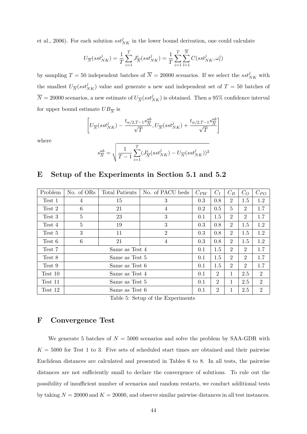et al., 2006). For each solution  $sst^j_{NK}$  in the lower bound derivation, one could calculate

$$
U_{\overline{N}}(sst_{NK}^j) = \frac{1}{T}\sum_{i=1}^T J_{\overline{N}}^i (sst_{NK}^j) = \frac{1}{T}\sum_{i=1}^T\sum_{l=1}^{\overline{N}} C(sst_{NK}^j,\omega_l^i)
$$

by sampling  $T = 50$  independent batches of  $\overline{N} = 20000$  scenarios. If we select the  $sst^j_{NK}$  with the smallest  $U_{\overline{N}}(sst^j_{NK})$  value and generate a new and independent set of  $T = 50$  batches of  $\overline{N} = 20000$  scenarios, a new estimate of  $U_{\overline{N}}(sst^j_{NK})$  is obtained. Then a 95% confidence interval for upper bound estimate  $UB_{\overline{N}}$  is

$$
\left[U_{\overline{N}}(sst_{NK}^j) - \frac{t_{\alpha/2, T-1} s_N^{ub}}{\sqrt{T}}, U_{\overline{N}}(sst_{NK}^j) + \frac{t_{\alpha/2, T-1} s_N^{ub}}{\sqrt{T}}\right]
$$

where

$$
s^{ub}_{\overline{N}}=\sqrt{\frac{1}{T-1}\sum_{i=1}^T (J_{\overline{N}}^i (sst_{NK}^j)-U_{\overline{N}}(sst_{NK}^j))^2}
$$

### **E Setup of the Experiments in Section 5.1 and 5.2**

| Problem | No. of ORs      | Total Patients | No. of PACU beds                                                                                                                                                                                            | $C_{PW}$ | $C_I$          | $C_B$          | $C_O$          | $C_{PO}$       |
|---------|-----------------|----------------|-------------------------------------------------------------------------------------------------------------------------------------------------------------------------------------------------------------|----------|----------------|----------------|----------------|----------------|
| Test 1  | 4               | 15             | 3                                                                                                                                                                                                           | 0.8      | $\overline{2}$ | 1.5            | 1.2            |                |
| Test 2  | 6               | 21             | 4                                                                                                                                                                                                           | 0.2      | 0.5            | $\overline{5}$ | 2              | 1.7            |
| Test 3  | $\overline{5}$  | 23             | 3                                                                                                                                                                                                           | 0.1      | 1.5            | $\overline{2}$ | $\overline{2}$ | 1.7            |
| Test 4  | $\overline{5}$  | 19             | 0.3<br>3<br>0.8<br>0.3<br>$\overline{2}$<br>0.3<br>0.8<br>$\overline{4}$<br>0.3<br>0.8<br>1.5<br>0.1<br>1.5<br>0.1<br>1.5<br>0.1<br>$\overline{2}$<br>0.1<br>$\overline{2}$<br>0.1<br>$\overline{2}$<br>0.1 |          |                | $\overline{2}$ | 1.5            | 1.2            |
| Test 5  | 3               | 11             |                                                                                                                                                                                                             |          | $\overline{2}$ | 1.5            | 1.2            |                |
| Test 6  | $6\phantom{.}6$ | 21             |                                                                                                                                                                                                             |          |                | $\overline{2}$ | 1.5            | 1.2            |
| Test 7  |                 | Same as Test 4 |                                                                                                                                                                                                             |          | $\overline{2}$ | 2              | 1.7            |                |
| Test 8  |                 | Same as Test 5 |                                                                                                                                                                                                             |          | $\overline{2}$ | 2              | 1.7            |                |
| Test 9  |                 | Same as Test 6 |                                                                                                                                                                                                             |          |                | $\overline{2}$ | $\overline{2}$ | 1.7            |
| Test 10 |                 | Same as Test 4 |                                                                                                                                                                                                             |          | 1              | 2.5            | $\overline{2}$ |                |
| Test 11 |                 | Same as Test 5 |                                                                                                                                                                                                             |          |                | $\mathbf{1}$   | 2.5            | $\overline{2}$ |
| Test 12 |                 | Same as Test 6 |                                                                                                                                                                                                             |          |                | 1              | 2.5            | $\overline{2}$ |

Table 5: Setup of the Experiments

## **F Convergence Test**

We generate 5 batches of  $N = 5000$  scenarios and solve the problem by SAA-GDR with  $K = 5000$  for Test 1 to 3. Five sets of scheduled start times are obtained and their pairwise Euclidean distances are calculated and presented in Tables 6 to 8. In all tests, the pairwise distances are not sufficiently small to declare the convergence of solutions. To rule out the possibility of insufficient number of scenarios and random restarts, we conduct additional tests by taking  $N = 20000$  and  $K = 20000$ , and observe similar pairwise distances in all test instances.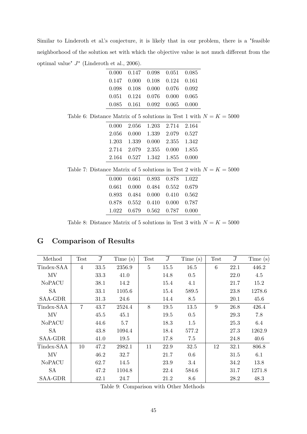Similar to Linderoth et al.'s conjecture, it is likely that in our problem, there is a "feasible neighborhood of the solution set with which the objective value is not much different from the optimal value" *J* ∗ (Linderoth et al., 2006).  $\overline{\phantom{a}}$ 

| $0.000$ $0.147$ $0.098$ $0.051$ $0.085$ |  |  |
|-----------------------------------------|--|--|
| $0.147$ $0.000$ $0.108$ $0.124$ $0.161$ |  |  |
| $0.098$ $0.108$ $0.000$ $0.076$ $0.092$ |  |  |
| $0.051$ $0.124$ $0.076$ $0.000$ $0.065$ |  |  |
| $0.085$ $0.161$ $0.092$ $0.065$ $0.000$ |  |  |
|                                         |  |  |

| $0.000$ $2.056$ $1.203$ $2.714$ $2.164$ |
|-----------------------------------------|
| 2.056 0.000 1.339 2.079 0.527           |
| 1.203 1.339 0.000 2.355 1.342           |
| 2.714 2.079 2.355 0.000 1.855           |
| 2.164 0.527 1.342 1.855 0.000           |
|                                         |

| Table 7: Distance Matrix of 5 solutions in Test 2 with $N = K = 5000$ |  |
|-----------------------------------------------------------------------|--|
|-----------------------------------------------------------------------|--|

| 0.000  0.661  0.893  0.878  1.022 |  |  |
|-----------------------------------|--|--|
| 0.661 0.000 0.484 0.552 0.679     |  |  |
| 0.893 0.484 0.000 0.410 0.562     |  |  |
| 0.878  0.552  0.410  0.000  0.787 |  |  |
| 1.022  0.679  0.562  0.787  0.000 |  |  |

Table 8: Distance Matrix of 5 solutions in Test 3 with  $N = K = 5000$ 

## **G Comparison of Results**

| Method        | <b>Test</b>    | $\overline{J}$ | Time(s) | <b>Test</b>    | $\overline{J}$ | Time(s) | <b>Test</b> | $\overline{J}$ | Time(s) |
|---------------|----------------|----------------|---------|----------------|----------------|---------|-------------|----------------|---------|
| Tindex-SAA    | $\overline{4}$ | 33.5           | 2356.9  | $\overline{5}$ | 15.5           | 16.5    | 6           | 22.1           | 446.2   |
| MV            |                | 33.3           | 41.0    |                | 14.8           | 0.5     |             | 22.0           | 4.5     |
| <b>NoPACU</b> |                | 38.1           | 14.2    |                | 15.4           | 4.1     |             | 21.7           | 15.2    |
| SA            |                | 33.1           | 1105.6  |                | 15.4           | 589.5   |             | 23.8           | 1278.6  |
| SAA-GDR       |                | 31.3           | 24.6    |                | 14.4           | 8.5     |             | 20.1           | 45.6    |
| Tindex-SAA    | $\overline{7}$ | 43.7           | 2524.4  | 8              | 19.5           | 13.5    | 9           | 26.8           | 426.4   |
| MV            |                | 45.5           | 45.1    |                | 19.5           | 0.5     |             | 29.3           | 7.8     |
| <b>NoPACU</b> |                | 44.6           | 5.7     |                | 18.3           | 1.5     |             | 25.3           | 6.4     |
| <b>SA</b>     |                | 43.8           | 1094.4  |                | 18.4           | 577.2   |             | 27.3           | 1262.9  |
| SAA-GDR       |                | 41.0           | 19.5    |                | 17.8           | 7.5     |             | 24.8           | 40.6    |
| Tindex-SAA    | 10             | 47.2           | 2982.1  | 11             | 22.9           | 32.5    | 12          | 32.1           | 806.8   |
| MV            |                | 46.2           | 32.7    |                | 21.7           | 0.6     |             | 31.5           | 6.1     |
| <b>NoPACU</b> |                | 62.7           | 14.5    |                | 23.9           | 3.4     |             | 34.2           | 13.8    |
| <b>SA</b>     |                | 47.2           | 1104.8  |                | 22.4           | 584.6   |             | 31.7           | 1271.8  |
| SAA-GDR       |                | 42.1           | 24.7    |                | 21.2           | 8.6     |             | 28.2           | 48.3    |

Table 9: Comparison with Other Methods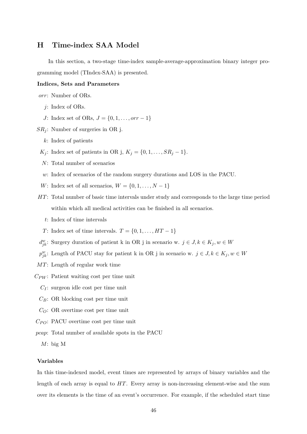## **H Time-index SAA Model**

In this section, a two-stage time-index sample-average-approximation binary integer programming model (TIndex-SAA) is presented.

#### **Indices, Sets and Parameters**

*orr*: Number of ORs.

- *j*: Index of ORs.
- *J*: Index set of ORs, *J* = {0, 1, . . . , *orr* − 1}
- *SR<sup>j</sup>* : Number of surgeries in OR j.
	- *k*: Index of patients
	- *K*<sub>j</sub>: Index set of patients in OR j,  $K_j = \{0, 1, ..., SR_j 1\}.$
	- *N*: Total number of scenarios
	- *w*: Index of scenarios of the random surgery durations and LOS in the PACU.
	- *W*: Index set of all scenarios,  $W = \{0, 1, \ldots, N 1\}$
- *HT*: Total number of basic time intervals under study and corresponds to the large time period within which all medical activities can be finished in all scenarios.
	- *t*: Index of time intervals
	- *T*: Index set of time intervals.  $T = \{0, 1, \ldots, HT 1\}$
- $d_{jk}^w$ : Surgery duration of patient k in OR j in scenario w.  $j \in J, k \in K_j, w \in W$
- $p_{jk}^w$ : Length of PACU stay for patient k in OR j in scenario w.  $j \in J, k \in K_j, w \in W$
- *MT*: Length of regular work time
- *CPW* : Patient waiting cost per time unit
	- *C<sup>I</sup>* : surgeon idle cost per time unit
	- *CB*: OR blocking cost per time unit
	- *CO*: OR overtime cost per time unit
- *CP O*: PACU overtime cost per time unit
- *pcap*: Total number of available spots in the PACU
	- *M*: big M

#### **Variables**

In this time-indexed model, event times are represented by arrays of binary variables and the length of each array is equal to *HT*. Every array is non-increasing element-wise and the sum over its elements is the time of an event's occurrence. For example, if the scheduled start time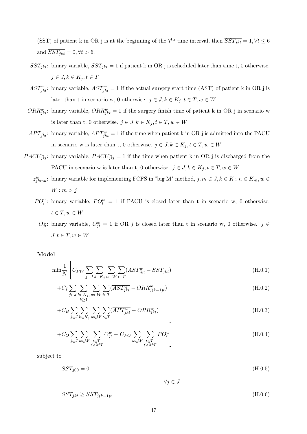(SST) of patient k in OR j is at the beginning of the 7<sup>th</sup> time interval, then  $\overline{SST_{ikt}} = 1, \forall t \leq 6$ and  $\overline{SST_{ikt}} = 0, \forall t > 6.$ 

- $\overline{SST_{jkt}}$ : binary variable,  $\overline{SST_{jkt}} = 1$  if patient k in OR j is scheduled later than time t, 0 otherwise.  $j \in J, k \in K_j, t \in T$
- $\overline{AST_{jkt}^w}$ : binary variable,  $\overline{AST_{jkt}^w} = 1$  if the actual surgery start time (AST) of patient k in OR j is later than t in scenario w, 0 otherwise.  $j \in J, k \in K_j, t \in T, w \in W$
- $ORR^{w}_{jkt}$ : binary variable,  $ORR^{w}_{jkt} = 1$  if the surgery finish time of patient k in OR j in scenario w is later than t, 0 otherwise.  $j \in J, k \in K_j, t \in T, w \in W$
- $\overline{APT_{jkt}^w}$ : binary variable,  $\overline{APT_{jkt}^w} = 1$  if the time when patient k in OR j is admitted into the PACU in scenario w is later than t, 0 otherwise.  $j \in J, k \in K_j, t \in T, w \in W$
- *PACU*<sup>*w*</sup><sub>jkt</sub>: binary variable, *PACU*<sup>*w*</sup><sub>jkt</sub> = 1 if the time when patient k in OR j is discharged from the PACU in scenario w is later than t, 0 otherwise.  $j \in J, k \in K_j, t \in T, w \in W$ 
	- $z_{jkmn}^w$ : binary variable for implementing FCFS in "big M" method,  $j, m \in J, k \in K_j, n \in K_m, w \in$  $W: m > j$
	- *PO*<sup>*w*</sup>: binary variable,  $PO_t^w = 1$  if PACU is closed later than t in scenario w, 0 otherwise.  $t \in T, w \in W$ 
		- $O_{jt}^w$ : binary variable,  $O_{jt}^w = 1$  if OR *j* is closed later than t in scenario w, 0 otherwise. *j* ∈  $J, t \in T, w \in W$

#### **Model**

$$
\min \frac{1}{N} \left[ C_{PW} \sum_{j \in J} \sum_{k \in K_j} \sum_{w \in W} \sum_{t \in T} (\overline{AST_{jkt}^{w}} - \overline{SST_{jkt}}) \right]
$$
(H.0.1)

$$
+C_{I} \sum_{j\in J} \sum_{\substack{k\in K_{j},\\k\geq 1}} \sum_{w\in W} \sum_{t\in T} (\overline{AST_{jkt}^{w}} - ORR_{j(k-1)t}^{w})
$$
(H.0.2)

$$
+C_B \sum_{j \in J} \sum_{k \in K_j} \sum_{w \in W} \sum_{t \in T} (\overline{APT^w_{jkt}} - ORR^w_{jkt})
$$
\n(H.0.3)

$$
+C_O \sum_{j\in J} \sum_{w\in W} \sum_{\substack{t\in T, \\ t\ge MT}} O_{jt}^w + C_{PO} \sum_{w\in W} \sum_{\substack{t\in T, \\ t\ge MT}} PO_t^w
$$
\n(H.0.4)

subject to

$$
\overline{SST_{j00}} = 0 \tag{H.0.5}
$$

∀*j* ∈ *J*

$$
\overline{SST_{jkt}} \ge \overline{SST_{j(k-1)t}} \tag{H.0.6}
$$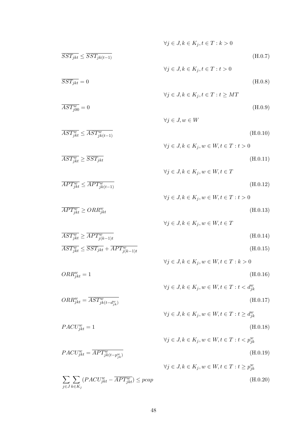$$
\sqrt{y} \in J, k \in K_j, t \in T : k > 0
$$
\n
$$
\sqrt{y} \in J, k \in K_j, t \in T : t > 0
$$
\n
$$
\sqrt{y} \in J, k \in K_j, t \in T : t > 0
$$
\n
$$
\sqrt{y} \in J, k \in K_j, t \in T : t \ge MT
$$
\n
$$
\sqrt{AST_{j\delta0}^w} = 0
$$
\n
$$
\sqrt{y} \in J, k \in K_j, t \in T : t \ge MT
$$
\n
$$
\sqrt{AST_{j\delta t}^w} \le \overline{AST_{j\delta t}^w} = 0
$$
\n
$$
\sqrt{y} \in J, k \in K_j, w \in W, t \in T : t > 0
$$
\n
$$
\sqrt{AST_{j\delta t}^w} \ge \overline{SST_{j\delta t}}
$$
\n
$$
\sqrt{BST_{j\delta t}^w} \le \overline{APT_{j\delta t}^w} = \sqrt{H_0^w} \quad (H.0.11)
$$
\n
$$
\sqrt{y} \in J, k \in K_j, w \in W, t \in T
$$
\n
$$
\sqrt{AST_{j\delta t}^w} \le \overline{APT_{j\delta t}^w} = \sqrt{H_0^w} \quad (H.0.12)
$$
\n
$$
\sqrt{y} \in J, k \in K_j, w \in W, t \in T : t > 0
$$
\n
$$
\sqrt{AST_{j\delta t}^w} \ge \overline{OPT_{j\delta t}^w} = 0
$$
\n
$$
\sqrt{BST_{j\delta t}^w} \ge \overline{OPT_{j\delta t}^w} = \sqrt{H_0^w} \quad (H.0.13)
$$
\n
$$
\forall j \in J, k \in K_j, w \in W, t \in T : t > 0
$$
\n
$$
\sqrt{AST_{j\delta t}^w} \le \overline{SST_{j\delta t}} + \overline{APT_{j\delta t-1}^w} \quad (H.0.14)
$$
\n
$$
\sqrt{BST_{j\delta t}^w} = 1
$$
\n
$$
\sqrt{BST_{j\delta t}^w} = \sqrt{AST_{j\delta t}^w} \quad (H.0.15)
$$
\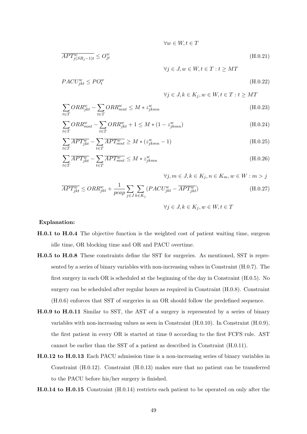$$
\overline{APT^w_{j(SR_j-1)t}} \le O^w_{jt} \tag{H.0.21}
$$

 $∀w ∈ W, t ∈ T$ 

$$
PACU_{jkt}^{w} \le PO_t^w \tag{H.0.22}
$$

$$
\forall j \in J, k \in K_j, w \in W, t \in T : t \ge MT
$$

 $∀j ∈ J, w ∈ W, t ∈ T : t ≥ MT$ 

$$
\sum_{t \in T} ORR_{jkt}^{w} - \sum_{t \in T} ORR_{mnt}^{w} \le M * z_{jkmn}^{w}
$$
\n(H.0.23)

$$
\sum_{t \in T} ORR_{mnt}^{w} - \sum_{t \in T} ORR_{jkt}^{w} + 1 \le M * (1 - z_{jkmn}^{w})
$$
\n(H.0.24)

$$
\sum_{t \in T} \overline{APT_{jkt}^w} - \sum_{t \in T} \overline{APT_{mnt}^w} \ge M * (z_{jkmn}^w - 1)
$$
\n(H.0.25)

$$
\sum_{t \in T} \overline{APT_{jkt}^w} - \sum_{t \in T} \overline{APT_{mnt}^w} \le M * z_{jkmn}^w \tag{H.0.26}
$$

$$
\forall j, m \in J, k \in K_j, n \in K_m, w \in W : m > j
$$
  

$$
\overline{APT_{jkt}^w} \le ORR_{jkt}^w + \frac{1}{pcap} \sum_{j \in J} \sum_{k \in K_j} (PACU_{jkt}^w - \overline{APT_{jkt}^w})
$$
  

$$
\forall j \in J, k \in K_j, w \in W, t \in T
$$
  
(H.0.27)

#### **Explanation:**

- **H.0.1 to H.0.4** The objective function is the weighted cost of patient waiting time, surgeon idle time, OR blocking time and OR and PACU overtime.
- **H.0.5 to H.0.8** These constraints define the SST for surgeries. As mentioned, SST is represented by a series of binary variables with non-increasing values in Constraint (H.0.7). The first surgery in each OR is scheduled at the beginning of the day in Constraint (H.0.5). No surgery can be scheduled after regular hours as required in Constraint (H.0.8). Constraint (H.0.6) enforces that SST of surgeries in an OR should follow the predefined sequence.
- **H.0.9 to H.0.11** Similar to SST, the AST of a surgery is represented by a series of binary variables with non-increasing values as seen in Constraint (H.0.10). In Constraint (H.0.9), the first patient in every OR is started at time 0 according to the first FCFS rule. AST cannot be earlier than the SST of a patient as described in Constraint (H.0.11).
- **H.0.12 to H.0.13** Each PACU admission time is a non-increasing series of binary variables in Constraint (H.0.12). Constraint (H.0.13) makes sure that no patient can be transferred to the PACU before his/her surgery is finished.
- **H.0.14 to H.0.15** Constraint (H.0.14) restricts each patient to be operated on only after the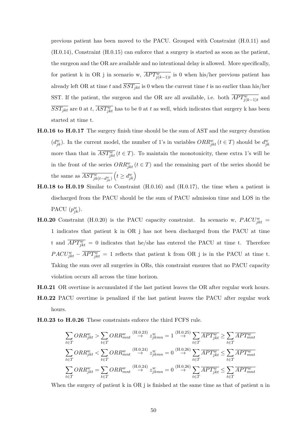previous patient has been moved to the PACU. Grouped with Constraint (H.0.11) and (H.0.14), Constraint (H.0.15) can enforce that a surgery is started as soon as the patient, the surgeon and the OR are available and no intentional delay is allowed. More specifically, for patient k in OR j in scenario w,  $\overline{APT^w_{j(k-1)t}}$  is 0 when his/her previous patient has already left OR at time *t* and  $\overline{SST_{jkt}}$  is 0 when the current time *t* is no earlier than his/her SST. If the patient, the surgeon and the OR are all available, i.e. both  $\overline{APT^w_{j(k-1)t}}$  and  $\overline{SST_{jkt}}$  are 0 at *t*,  $\overline{AST_{jkt}^w}$  has to be 0 at *t* as well, which indicates that surgery k has been started at time t.

- **H.0.16 to H.0.17** The surgery finish time should be the sum of AST and the surgery duration ( $d_{jk}^w$ ). In the current model, the number of 1's in variables  $ORR_{jkt}^w$  ( $t \in T$ ) should be  $d_{jk}^w$ more than that in  $\overline{AST_{jkt}^w}$  ( $t \in T$ ). To maintain the monotonicity, these extra 1's will be in the front of the series  $ORR^w_{jkt}$  ( $t \in T$ ) and the remaining part of the series should be the same as  $\overline{AST^w_{jk(t-d^w_{jk})}}$  $\left(t \ge d_{jk}^w\right)$
- **H.0.18 to H.0.19** Similar to Constraint (H.0.16) and (H.0.17), the time when a patient is discharged from the PACU should be the sum of PACU admission time and LOS in the PACU  $(p_{jk}^w)$ .
- **H.0.20** Constraint (H.0.20) is the PACU capacity constraint. In scenario w,  $PACU_{jkt}^{w}$  = 1 indicates that patient k in OR j has not been discharged from the PACU at time t and  $\overline{APT_{jkt}^w} = 0$  indicates that he/she has entered the PACU at time t. Therefore  $PACU_{jkt}^w - \overline{APT_{jkt}^w} = 1$  reflects that patient k from OR j is in the PACU at time t. Taking the sum over all surgeries in ORs, this constraint ensures that no PACU capacity violation occurs all across the time horizon.
- **H.0.21** OR overtime is accumulated if the last patient leaves the OR after regular work hours. **H.0.22** PACU overtime is penalized if the last patient leaves the PACU after regular work hours.
- **H.0.23 to H.0.26** These constraints enforce the third FCFS rule.

$$
\sum_{t \in T} ORR_{jkt}^{w} > \sum_{t \in T} ORR_{mnt}^{w} \stackrel{\text{(H.0.23)}}{\rightarrow} z_{jkmn}^{w} = 1 \stackrel{\text{(H.0.25)}}{\rightarrow} \sum_{t \in T} \overline{APT_{jkt}^{w}} \ge \sum_{t \in T} \overline{APT_{mnt}^{w}}
$$
\n
$$
\sum_{t \in T} ORR_{jkt}^{w} < \sum_{t \in T} ORR_{mnt}^{w} \stackrel{\text{(H.0.24)}}{\rightarrow} z_{jkmn}^{w} = 0 \stackrel{\text{(H.0.26)}}{\rightarrow} \sum_{t \in T} \overline{APT_{jkt}^{w}} \le \sum_{t \in T} \overline{APT_{mnt}^{w}}
$$
\n
$$
\sum_{t \in T} ORR_{jkt}^{w} = \sum_{t \in T} ORR_{mnt}^{w} \stackrel{\text{(H.0.24)}}{\rightarrow} z_{jkmn}^{w} = 0 \stackrel{\text{(H.0.26)}}{\rightarrow} \sum_{t \in T} \overline{APT_{jkt}^{w}} \le \sum_{t \in T} \overline{APT_{mnt}^{w}}
$$

When the surgery of patient k in OR i is finished at the same time as that of patient n in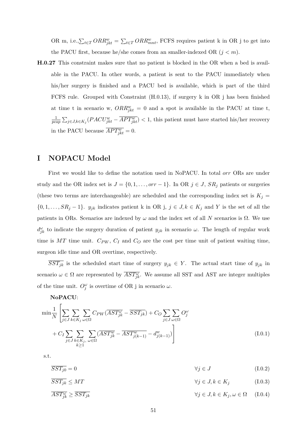OR m, i.e., $\sum_{t \in T} ORR_{jkt}^w = \sum_{t \in T} ORR_{mnt}^w$ , FCFS requires patient k in OR j to get into the PACU first, because he/she comes from an smaller-indexed OR  $(j < m)$ .

**H.0.27** This constraint makes sure that no patient is blocked in the OR when a bed is available in the PACU. In other words, a patient is sent to the PACU immediately when his/her surgery is finished and a PACU bed is available, which is part of the third FCFS rule. Grouped with Constraint (H.0.13), if surgery k in OR j has been finished at time t in scenario w,  $ORR^{w}_{jkt} = 0$  and a spot is available in the PACU at time t, 1  $\frac{1}{pcap} \sum_{j \in J, k \in K_j} (PACU^w_{jkt} - \overline{APT^w_{jkt}})$  < 1, this patient must have started his/her recovery in the PACU because  $\overline{APT_{jkt}^w} = 0$ .

## **I NOPACU Model**

First we would like to define the notation used in NoPACU. In total *orr* ORs are under study and the OR index set is  $J = \{0, 1, \ldots, or r - 1\}$ . In OR  $j \in J$ ,  $SR_j$  patients or surgeries (these two terms are interchangeable) are scheduled and the corresponding index set is  $K_j =$  $\{0, 1, \ldots, SR_j - 1\}$ . *y<sub>jk</sub>* indicates patient k in OR j,  $j \in J, k \in K_j$  and Y is the set of all the patients in ORs. Scenarios are indexed by  $\omega$  and the index set of all *N* scenarios is  $\Omega$ . We use  $d_{jk}^{\omega}$  to indicate the surgery duration of patient  $y_{jk}$  in scenario *ω*. The length of regular work time is  $MT$  time unit.  $C_{PW}$ ,  $C_I$  and  $C_O$  are the cost per time unit of patient waiting time, surgeon idle time and OR overtime, respectively.

 $\overline{SST_{jk}}$  is the scheduled start time of surgery  $y_{jk} \in Y$ . The actual start time of  $y_{jk}$  in scenario  $\omega \in \Omega$  are represented by  $\overline{AST_{jk}^{\omega}}$ . We assume all SST and AST are integer multiples of the time unit.  $O_j^{\omega}$  is overtime of OR j in scenario  $\omega$ .

**NoPACU**:

$$
\min \frac{1}{N} \left[ \sum_{j \in J} \sum_{k \in K_j} \sum_{\omega \in \Omega} C_{PW} (\overline{AST_{jk}^{\omega}} - \overline{SST_{jk}}) + C_O \sum_{j \in J} \sum_{\omega \in \Omega} O_j^{\omega} \right]
$$
  
+ 
$$
C_I \sum_{j \in J} \sum_{k \in K_j} \sum_{\omega \in \Omega} (\overline{AST_{jk}^{\omega}} - \overline{AST_{j(k-1)}^{\omega}} - d_{j(k-1)}^{\omega}) \right]
$$
(I.0.1)

s.t.

$$
\overline{SST_{j0}} = 0 \qquad \qquad \forall j \in J \qquad (1.0.2)
$$

$$
\overline{SST_{jk}} \le MT \qquad \qquad \forall j \in J, k \in K_j \qquad (1.0.3)
$$

$$
\overline{AST_{jk}^{\omega}} \ge \overline{SST_{jk}} \qquad \qquad \forall j \in J, k \in K_j, \omega \in \Omega \qquad (I.0.4)
$$